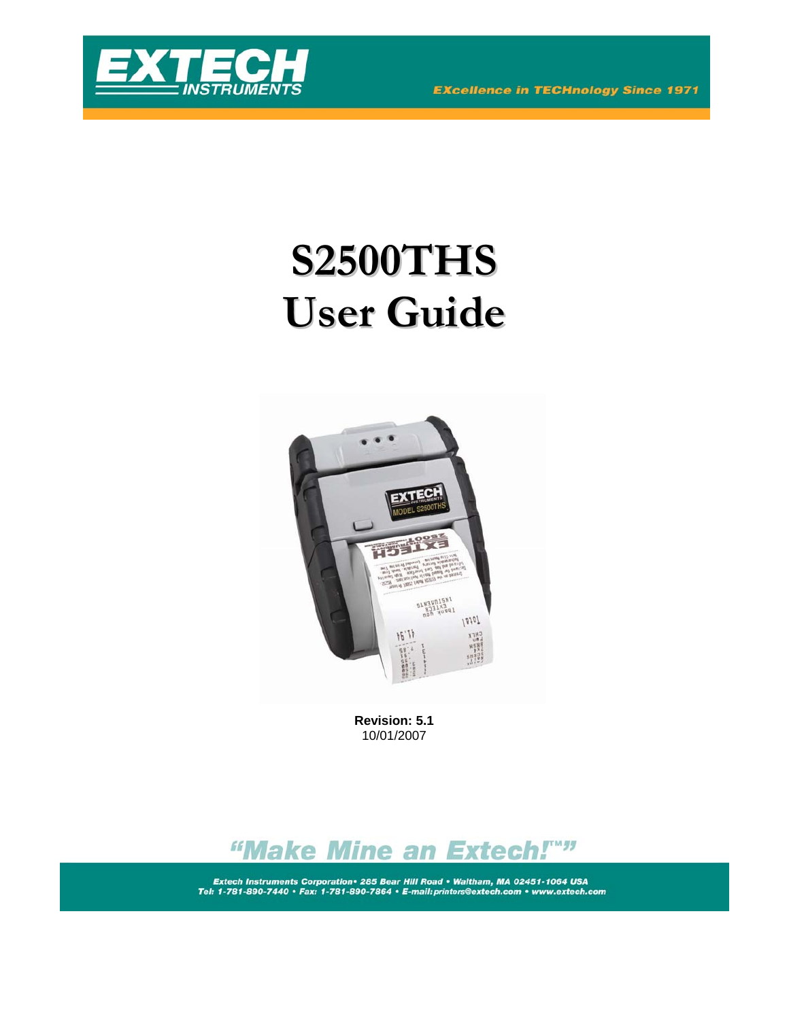



# **S2500THS User Guide**



**Revision: 5.1**  10/01/2007



Extech Instruments Corporation • 285 Bear Hill Road • Waltham, MA 02451-1064 USA<br>Tel: 1-781-890-7440 • Fax: 1-781-890-7864 • E-mail: printers@extech.com • www.extech.com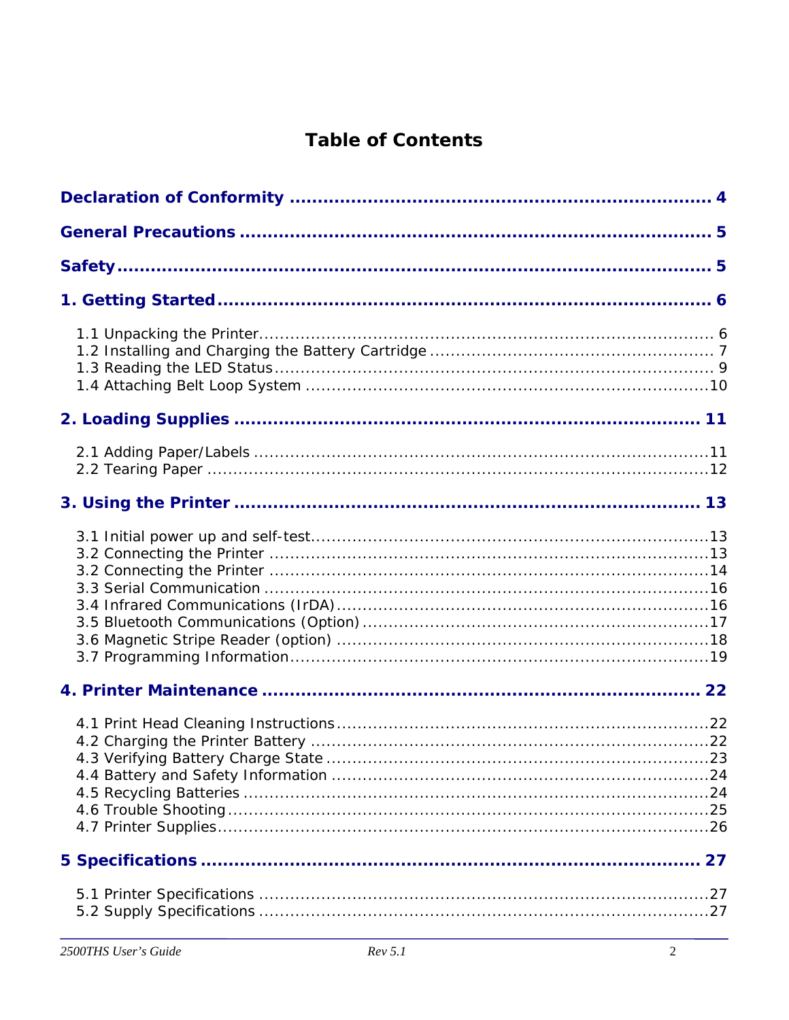# **Table of Contents**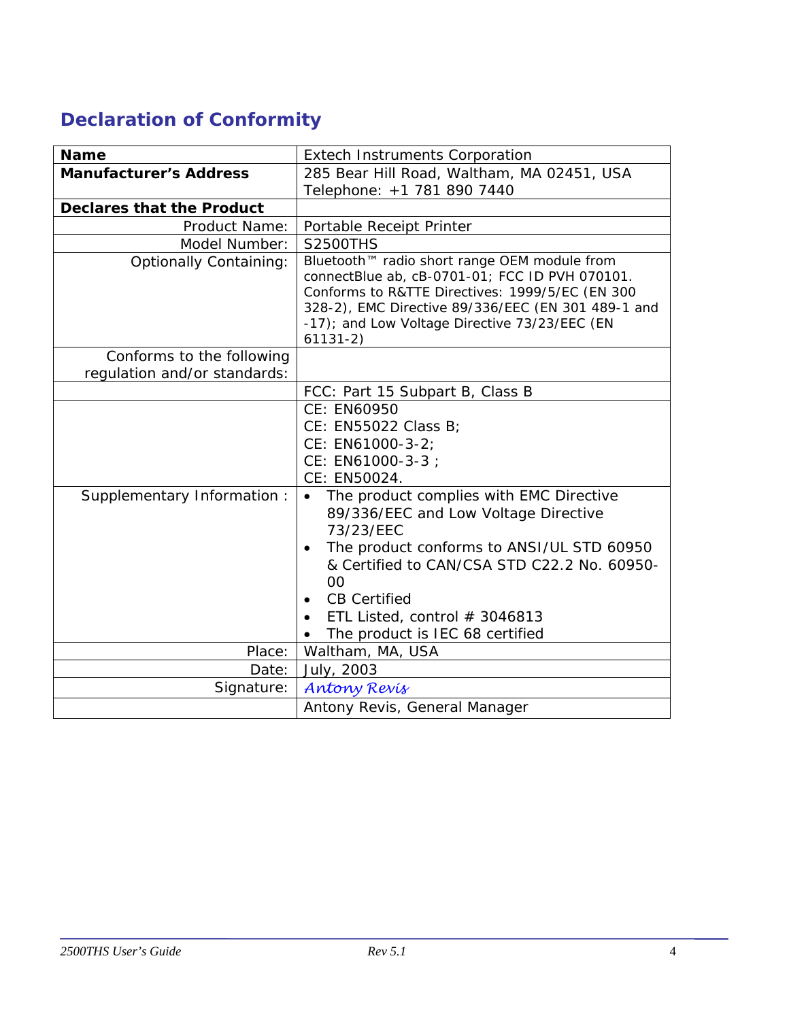# <span id="page-3-0"></span>**Declaration of Conformity**

| <b>Name</b>                      | <b>Extech Instruments Corporation</b>                                                                                                                                                                                                                                                                  |  |
|----------------------------------|--------------------------------------------------------------------------------------------------------------------------------------------------------------------------------------------------------------------------------------------------------------------------------------------------------|--|
| <b>Manufacturer's Address</b>    | 285 Bear Hill Road, Waltham, MA 02451, USA                                                                                                                                                                                                                                                             |  |
|                                  | Telephone: +1 781 890 7440                                                                                                                                                                                                                                                                             |  |
| <b>Declares that the Product</b> |                                                                                                                                                                                                                                                                                                        |  |
| Product Name:                    | Portable Receipt Printer                                                                                                                                                                                                                                                                               |  |
| Model Number:                    | <b>S2500THS</b>                                                                                                                                                                                                                                                                                        |  |
| <b>Optionally Containing:</b>    | Bluetooth™ radio short range OEM module from<br>connectBlue ab, cB-0701-01; FCC ID PVH 070101.<br>Conforms to R&TTE Directives: 1999/5/EC (EN 300<br>328-2), EMC Directive 89/336/EEC (EN 301 489-1 and<br>-17); and Low Voltage Directive 73/23/EEC (EN<br>$61131-2)$                                 |  |
| Conforms to the following        |                                                                                                                                                                                                                                                                                                        |  |
| regulation and/or standards:     |                                                                                                                                                                                                                                                                                                        |  |
|                                  | FCC: Part 15 Subpart B, Class B                                                                                                                                                                                                                                                                        |  |
|                                  | CE: EN60950<br>CE: EN55022 Class B;<br>CE: EN61000-3-2;<br>CE: EN61000-3-3 ;<br>CE: EN50024.                                                                                                                                                                                                           |  |
| Supplementary Information:       | The product complies with EMC Directive<br>$\bullet$<br>89/336/EEC and Low Voltage Directive<br>73/23/EEC<br>The product conforms to ANSI/UL STD 60950<br>& Certified to CAN/CSA STD C22.2 No. 60950-<br>00<br><b>CB Certified</b><br>ETL Listed, control # 3046813<br>The product is IEC 68 certified |  |
| Place:                           | Waltham, MA, USA                                                                                                                                                                                                                                                                                       |  |
| Date:                            | July, 2003                                                                                                                                                                                                                                                                                             |  |
| Signature:                       | <b>Antony Revis</b>                                                                                                                                                                                                                                                                                    |  |
|                                  | Antony Revis, General Manager                                                                                                                                                                                                                                                                          |  |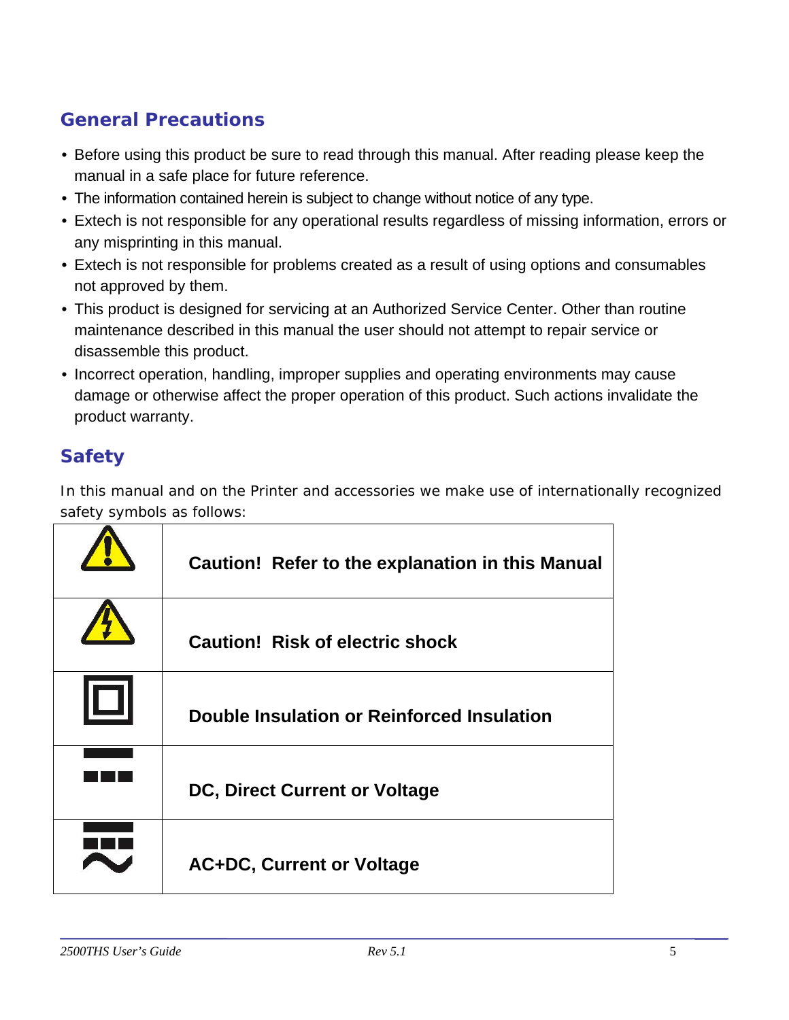# <span id="page-4-0"></span>**General Precautions**

- Before using this product be sure to read through this manual. After reading please keep the manual in a safe place for future reference.
- The information contained herein is subject to change without notice of any type.
- Extech is not responsible for any operational results regardless of missing information, errors or any misprinting in this manual.
- Extech is not responsible for problems created as a result of using options and consumables not approved by them.
- This product is designed for servicing at an Authorized Service Center. Other than routine maintenance described in this manual the user should not attempt to repair service or disassemble this product.
- Incorrect operation, handling, improper supplies and operating environments may cause damage or otherwise affect the proper operation of this product. Such actions invalidate the product warranty.

# **Safety**

In this manual and on the Printer and accessories we make use of internationally recognized safety symbols as follows:

| Caution! Refer to the explanation in this Manual |
|--------------------------------------------------|
| <b>Caution! Risk of electric shock</b>           |
| Double Insulation or Reinforced Insulation       |
| <b>DC, Direct Current or Voltage</b>             |
| <b>AC+DC, Current or Voltage</b>                 |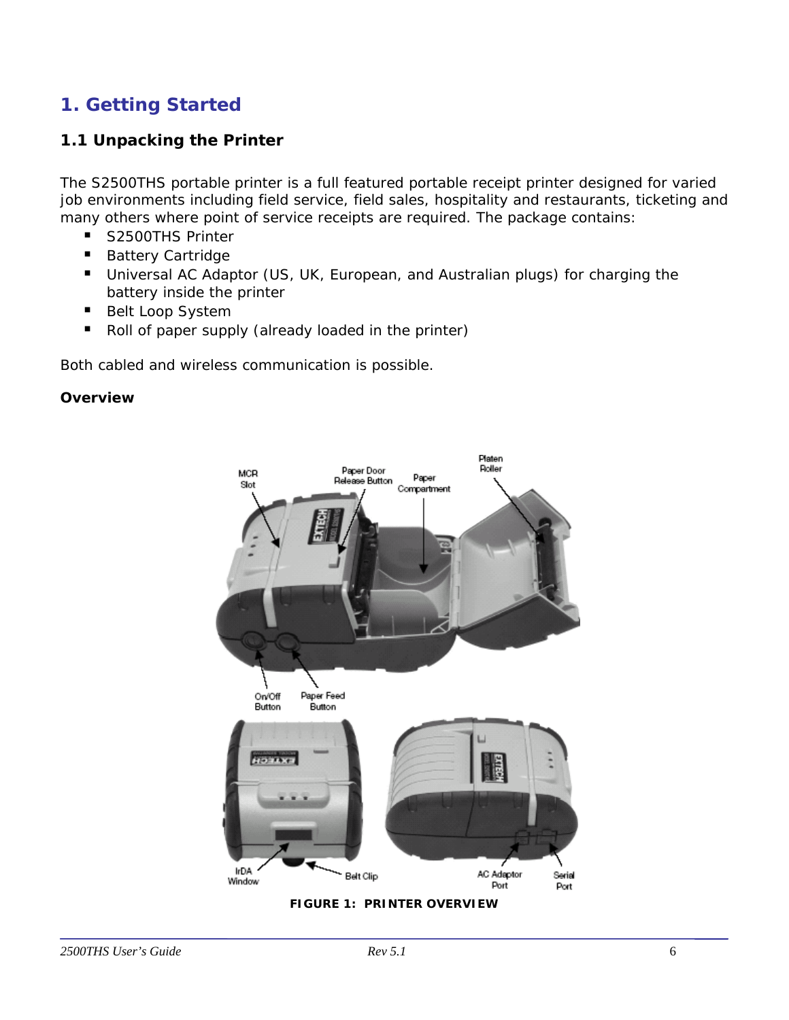# <span id="page-5-0"></span>**1. Getting Started**

# **1.1 Unpacking the Printer**

The S2500THS portable printer is a full featured portable receipt printer designed for varied job environments including field service, field sales, hospitality and restaurants, ticketing and many others where point of service receipts are required. The package contains:

- S2500THS Printer
- Battery Cartridge
- **Universal AC Adaptor (US, UK, European, and Australian plugs) for charging the** battery inside the printer
- Belt Loop System
- Roll of paper supply (already loaded in the printer)

Both cabled and wireless communication is possible.

#### *Overview*

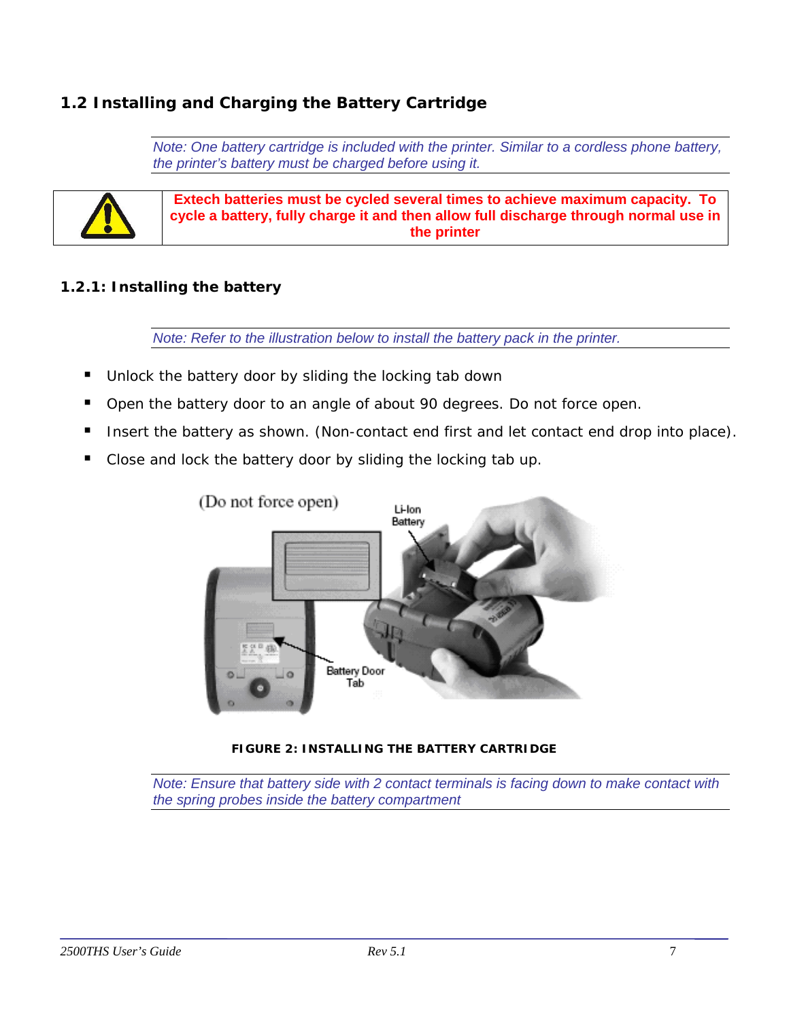# <span id="page-6-0"></span>**1.2 Installing and Charging the Battery Cartridge**

*Note: One battery cartridge is included with the printer. Similar to a cordless phone battery, the printer's battery must be charged before using it.* 



**Extech batteries must be cycled several times to achieve maximum capacity. To cycle a battery, fully charge it and then allow full discharge through normal use in the printer** 

#### *1.2.1: Installing the battery*

*Note: Refer to the illustration below to install the battery pack in the printer.* 

- Unlock the battery door by sliding the locking tab down
- Open the battery door to an angle of about 90 degrees. Do not force open.
- Insert the battery as shown. (Non-contact end first and let contact end drop into place).
- Close and lock the battery door by sliding the locking tab up.



**FIGURE 2: INSTALLING THE BATTERY CARTRIDGE** 

*Note: Ensure that battery side with 2 contact terminals is facing down to make contact with the spring probes inside the battery compartment*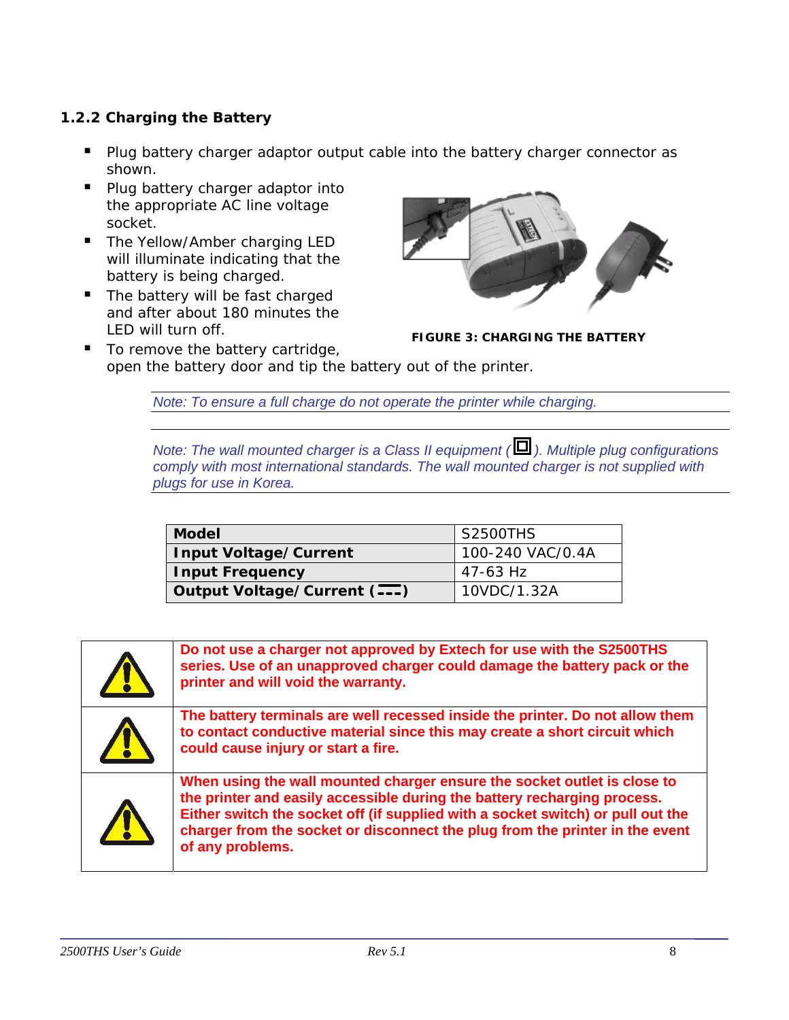## <span id="page-7-0"></span>*1.2.2 Charging the Battery*

- **Plug battery charger adaptor output cable into the battery charger connector as** shown.
- **Plug battery charger adaptor into** the appropriate AC line voltage socket.
- The Yellow/Amber charging LED will illuminate indicating that the battery is being charged.
- The battery will be fast charged and after about 180 minutes the LED will turn off.



**FIGURE 3: CHARGING THE BATTERY**

■ To remove the battery cartridge, open the battery door and tip the battery out of the printer.

*Note: To ensure a full charge do not operate the printer while charging.* 

*Note: The wall mounted charger is a Class II equipment ( ). Multiple plug configurations comply with most international standards. The wall mounted charger is not supplied with plugs for use in Korea.* 

| <b>Model</b>                 | S2500THS         |
|------------------------------|------------------|
| Input Voltage/Current        | 100-240 VAC/0.4A |
| Input Frequency              | 47-63 Hz         |
| Output Voltage/Current (---) | 10VDC/1.32A      |

| Do not use a charger not approved by Extech for use with the S2500THS<br>series. Use of an unapproved charger could damage the battery pack or the<br>printer and will void the warranty.                                                                                                                                                   |
|---------------------------------------------------------------------------------------------------------------------------------------------------------------------------------------------------------------------------------------------------------------------------------------------------------------------------------------------|
| The battery terminals are well recessed inside the printer. Do not allow them<br>to contact conductive material since this may create a short circuit which<br>could cause injury or start a fire.                                                                                                                                          |
| When using the wall mounted charger ensure the socket outlet is close to<br>the printer and easily accessible during the battery recharging process.<br>Either switch the socket off (if supplied with a socket switch) or pull out the<br>charger from the socket or disconnect the plug from the printer in the event<br>of any problems. |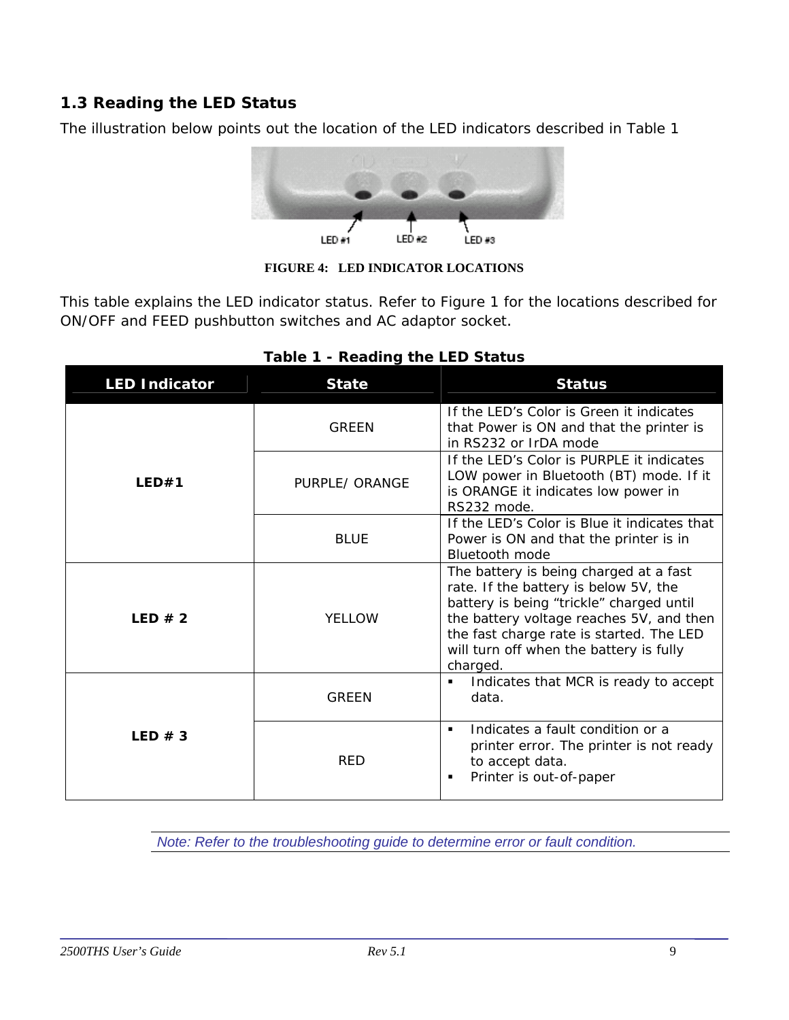# <span id="page-8-0"></span>**1.3 Reading the LED Status**

The illustration below points out the location of the LED indicators described in Table 1



**FIGURE 4: LED INDICATOR LOCATIONS** 

This table explains the LED indicator status. Refer to Figure 1 for the locations described for ON/OFF and FEED pushbutton switches and AC adaptor socket.

| <b>LED Indicator</b> | <b>State</b>   | <b>Status</b>                                                                                                                                                                                                                                                              |
|----------------------|----------------|----------------------------------------------------------------------------------------------------------------------------------------------------------------------------------------------------------------------------------------------------------------------------|
| LED#1                | <b>GRFFN</b>   | If the LED's Color is Green it indicates<br>that Power is ON and that the printer is<br>in RS232 or IrDA mode                                                                                                                                                              |
|                      | PURPLE/ ORANGE | If the LED's Color is PURPLE it indicates<br>LOW power in Bluetooth (BT) mode. If it<br>is ORANGE it indicates low power in<br>RS232 mode.                                                                                                                                 |
|                      | <b>BLUE</b>    | If the LED's Color is Blue it indicates that<br>Power is ON and that the printer is in<br><b>Bluetooth</b> mode                                                                                                                                                            |
| LED $# 2$            | <b>YELLOW</b>  | The battery is being charged at a fast<br>rate. If the battery is below 5V, the<br>battery is being "trickle" charged until<br>the battery voltage reaches 5V, and then<br>the fast charge rate is started. The LED<br>will turn off when the battery is fully<br>charged. |
|                      | <b>GREEN</b>   | Indicates that MCR is ready to accept<br>$\blacksquare$<br>data.                                                                                                                                                                                                           |
| LED $# 3$            | <b>RED</b>     | Indicates a fault condition or a<br>$\blacksquare$<br>printer error. The printer is not ready<br>to accept data.<br>Printer is out-of-paper<br>п                                                                                                                           |

#### **Table 1 - Reading the LED Status**

 *Note: Refer to the troubleshooting guide to determine error or fault condition.*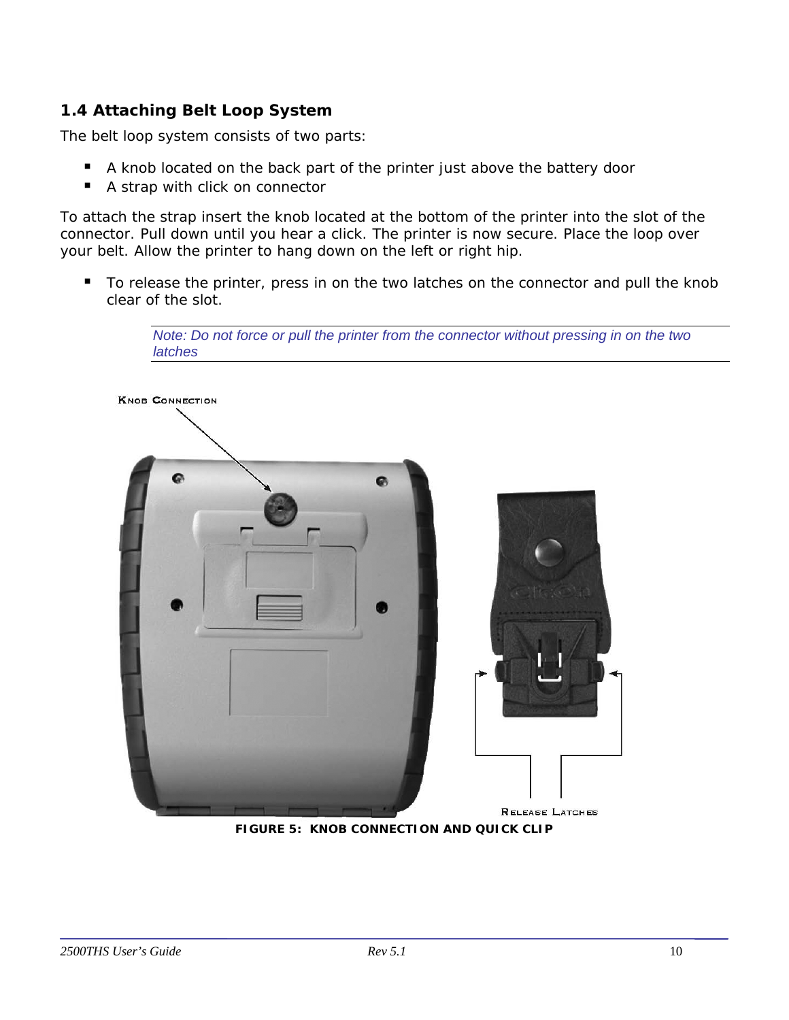# <span id="page-9-0"></span>**1.4 Attaching Belt Loop System**

The belt loop system consists of two parts:

- A knob located on the back part of the printer just above the battery door
- A strap with click on connector

To attach the strap insert the knob located at the bottom of the printer into the slot of the connector. Pull down until you hear a click. The printer is now secure. Place the loop over your belt. Allow the printer to hang down on the left or right hip.

To release the printer, press in on the two latches on the connector and pull the knob clear of the slot.

> *Note: Do not force or pull the printer from the connector without pressing in on the two latches*



**FIGURE 5: KNOB CONNECTION AND QUICK CLIP**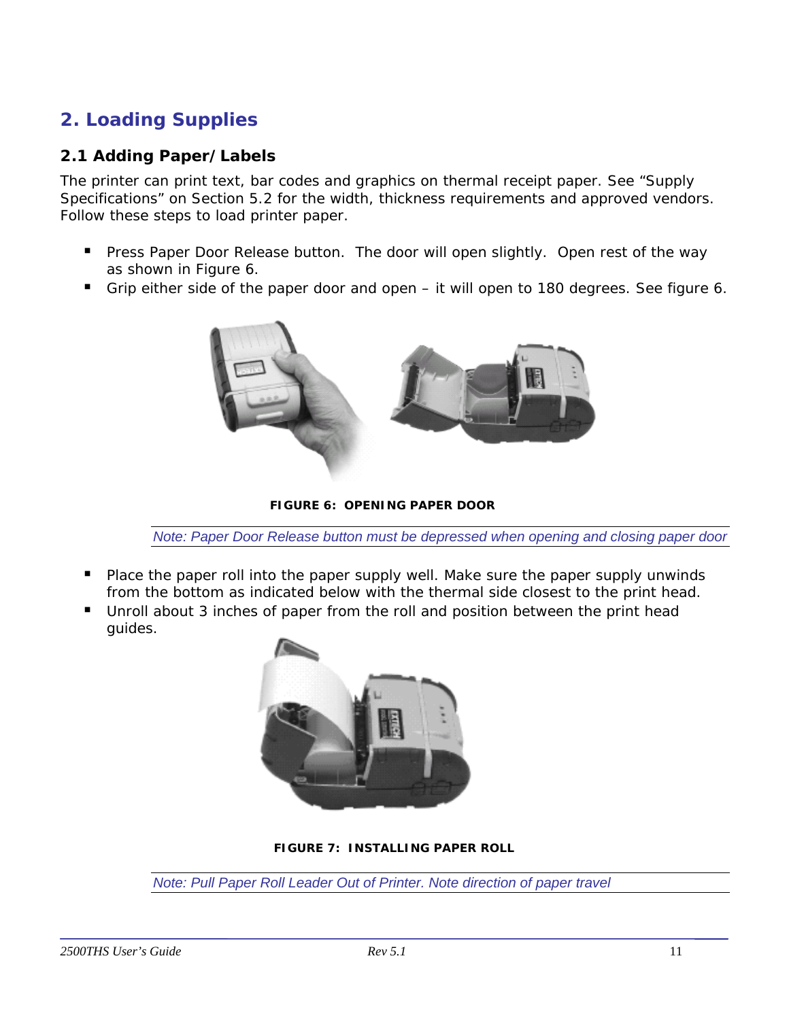# <span id="page-10-0"></span>**2. Loading Supplies**

## **2.1 Adding Paper/Labels**

The printer can print text, bar codes and graphics on thermal receipt paper. See "Supply Specifications" on Section 5.2 for the width, thickness requirements and approved vendors. Follow these steps to load printer paper.

- **Press Paper Door Release button. The door will open slightly. Open rest of the way** as shown in Figure 6.
- Grip either side of the paper door and open it will open to 180 degrees. See figure 6.



**FIGURE 6: OPENING PAPER DOOR** 

*Note: Paper Door Release button must be depressed when opening and closing paper door* 

- **Pe** Place the paper roll into the paper supply well. Make sure the paper supply unwinds from the bottom as indicated below with the thermal side closest to the print head.
- Unroll about 3 inches of paper from the roll and position between the print head guides.



**FIGURE 7: INSTALLING PAPER ROLL** 

*Note: Pull Paper Roll Leader Out of Printer. Note direction of paper travel*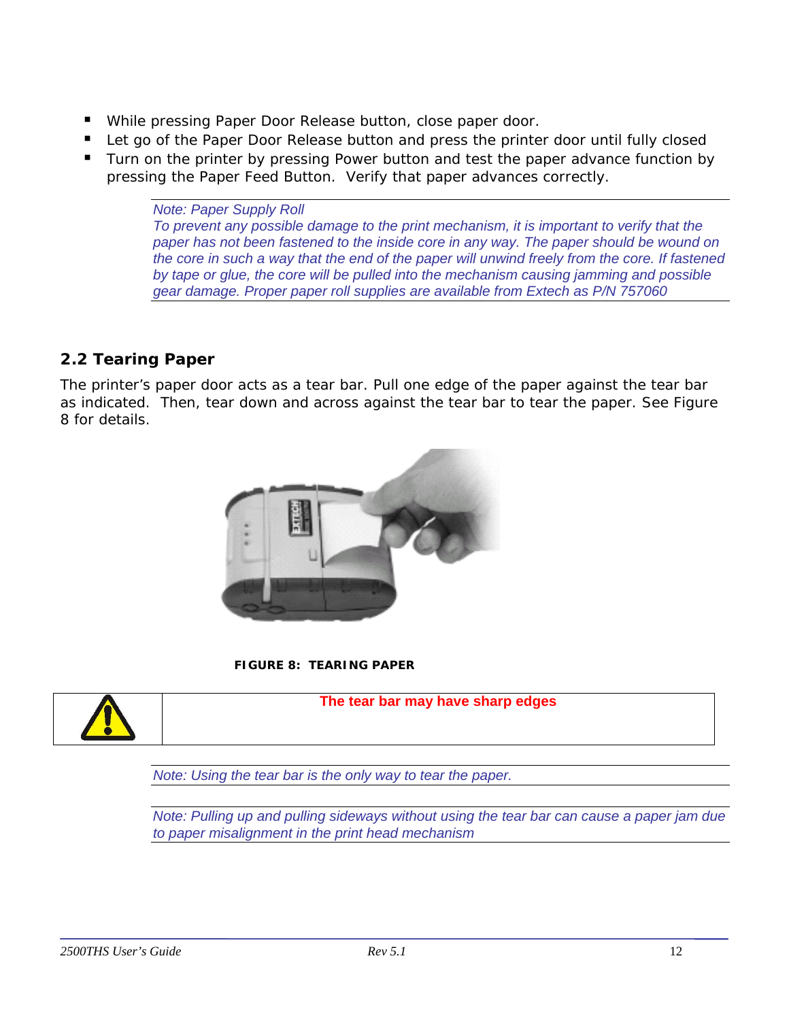- <span id="page-11-0"></span>While pressing Paper Door Release button, close paper door.
- Let go of the Paper Door Release button and press the printer door until fully closed
- Turn on the printer by pressing Power button and test the paper advance function by pressing the Paper Feed Button. Verify that paper advances correctly.

*Note: Paper Supply Roll To prevent any possible damage to the print mechanism, it is important to verify that the paper has not been fastened to the inside core in any way. The paper should be wound on the core in such a way that the end of the paper will unwind freely from the core. If fastened by tape or glue, the core will be pulled into the mechanism causing jamming and possible gear damage. Proper paper roll supplies are available from Extech as P/N 757060* 

# **2.2 Tearing Paper**

The printer's paper door acts as a tear bar. Pull one edge of the paper against the tear bar as indicated. Then, tear down and across against the tear bar to tear the paper. See Figure 8 for details.



**FIGURE 8: TEARING PAPER**



**The tear bar may have sharp edges** 

*Note: Using the tear bar is the only way to tear the paper.* 

*Note: Pulling up and pulling sideways without using the tear bar can cause a paper jam due to paper misalignment in the print head mechanism*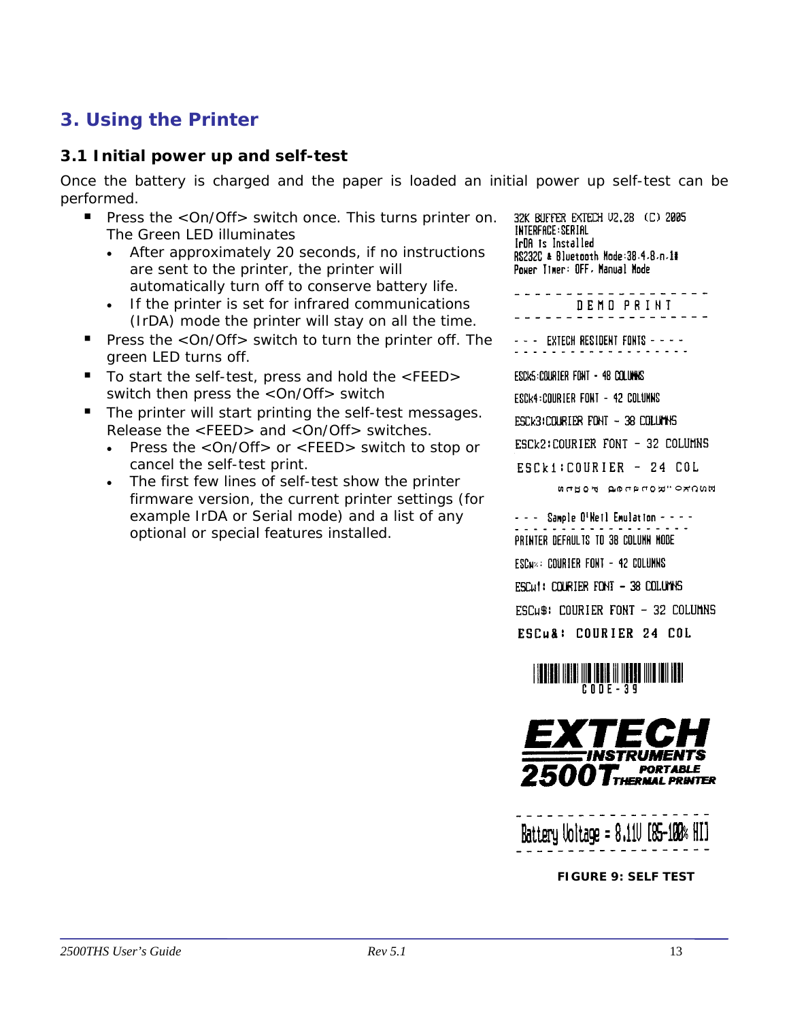# <span id="page-12-0"></span>**3. Using the Printer**

## **3.1 Initial power up and self-test**

Once the battery is charged and the paper is loaded an initial power up self-test can be performed.

- **Press the <On/Off> switch once. This turns printer on.** The Green LED illuminates
	- *After approximately 20 seconds, if no instructions are sent to the printer, the printer will automatically turn off to conserve battery life.*
	- *If the printer is set for infrared communications (IrDA) mode the printer will stay on all the time.*
- Press the <On/Off> switch to turn the printer off. The green LED turns off.
- To start the self-test, press and hold the <FEED> switch then press the <On/Off> switch
- The printer will start printing the self-test messages. Release the <FEED> and <On/Off> switches.
	- *Press the* <On/Off> *or* <FEED> *switch to stop or cancel the self-test print.*
	- *The first few lines of self-test show the printer firmware version, the current printer settings (for example IrDA or Serial mode) and a list of any optional or special features installed.*

32K BUFFER EXTECH V2.28 (C) 2005 INTERFACE: SERIAL IrDA is Installed RS232C & Bluetooth Mode: 38.4.8.n.1# Power Timer: OFF, Manual Mode

DEMO PRINT

- - - EXTECH RESIDENT FONTS - - - -

ESCK5:COURIER FONT - 48 COLUMNS ESCK4:COURIER FONT - 42 COLUMNS ESCK3:COURIER FONT - 38 COLUMNS ESCk2: COURIER FONT - 32 COLUMNS ESCk1: COURIER - 24 COL

MOORO "RODROG FOUD

- - - Sample O'Netl Emulation - - - -PRINTER DEFAULTS TO 38 COLUNN MODE ESCN =: COURTER FONT - 42 COLUMNS ESCULL: COURTER FONT - 38 COLUMNS ESCus: COURIER FONT - 32 COLUMNS ESCu&: COURIER 24 COL



Battery Voltage =  $8.110$   $[85 - 100$   $H$   $H$ 

**FIGURE 9: SELF TEST**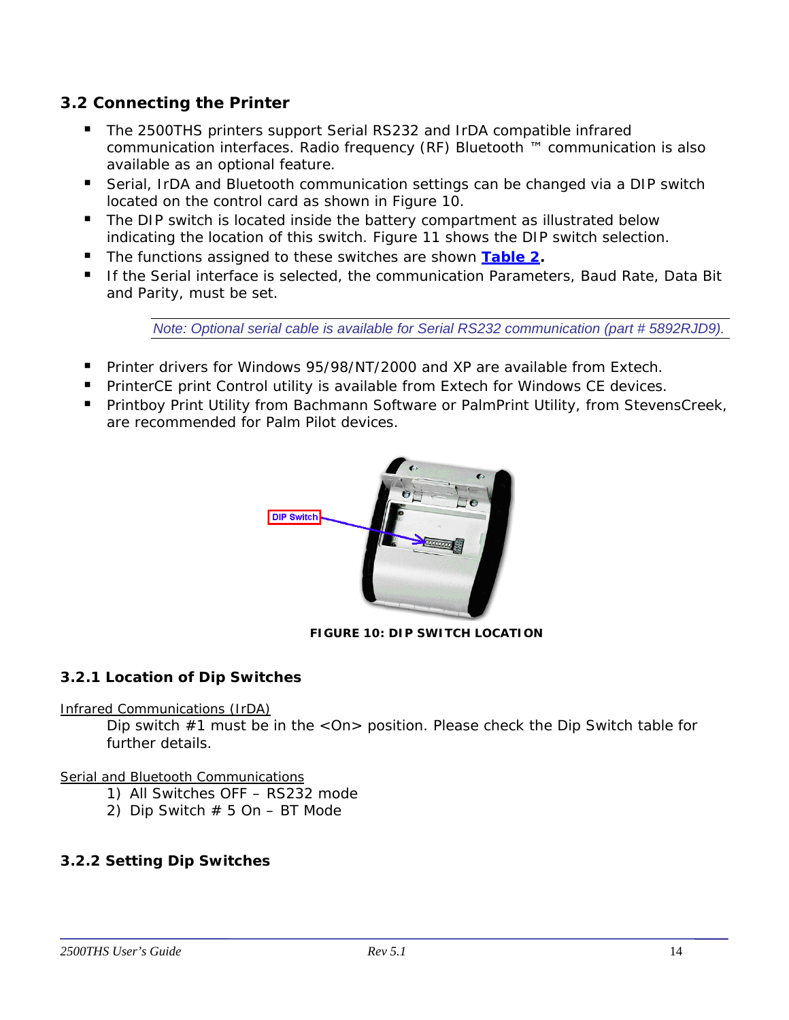# <span id="page-13-0"></span>**3.2 Connecting the Printer**

- The 2500THS printers support Serial RS232 and IrDA compatible infrared communication interfaces. Radio frequency (RF) Bluetooth ™ communication is also available as an optional feature.
- Serial, IrDA and Bluetooth communication settings can be changed via a DIP switch located on the control card as shown in Figure 10.
- The DIP switch is located inside the battery compartment as illustrated below indicating the location of this switch. Figure 11 shows the DIP switch selection.
- The functions assigned to these switches are shown [Table 2](#page-14-0).
- **If the Serial interface is selected, the communication Parameters, Baud Rate, Data Bit** and Parity, must be set.

*Note: Optional serial cable is available for Serial RS232 communication (part # 5892RJD9).* 

- Printer drivers for Windows 95/98/NT/2000 and XP are available from Extech.
- **PrinterCE print Control utility is available from Extech for Windows CE devices.**
- **Printboy Print Utility from Bachmann Software or PalmPrint Utility, from StevensCreek,** are recommended for Palm Pilot devices.



#### **FIGURE 10: DIP SWITCH LOCATION**

#### *3.2.1 Location of Dip Switches*

#### *Infrared Communications (IrDA)*

Dip switch  $#1$  must be in the  $\langle$ On $\rangle$  position. Please check the Dip Switch table for further details.

#### *Serial and Bluetooth Communications*

- 1) All Switches OFF RS232 mode
- 2) Dip Switch  $# 5$  On  $-$  BT Mode

#### *3.2.2 Setting Dip Switches*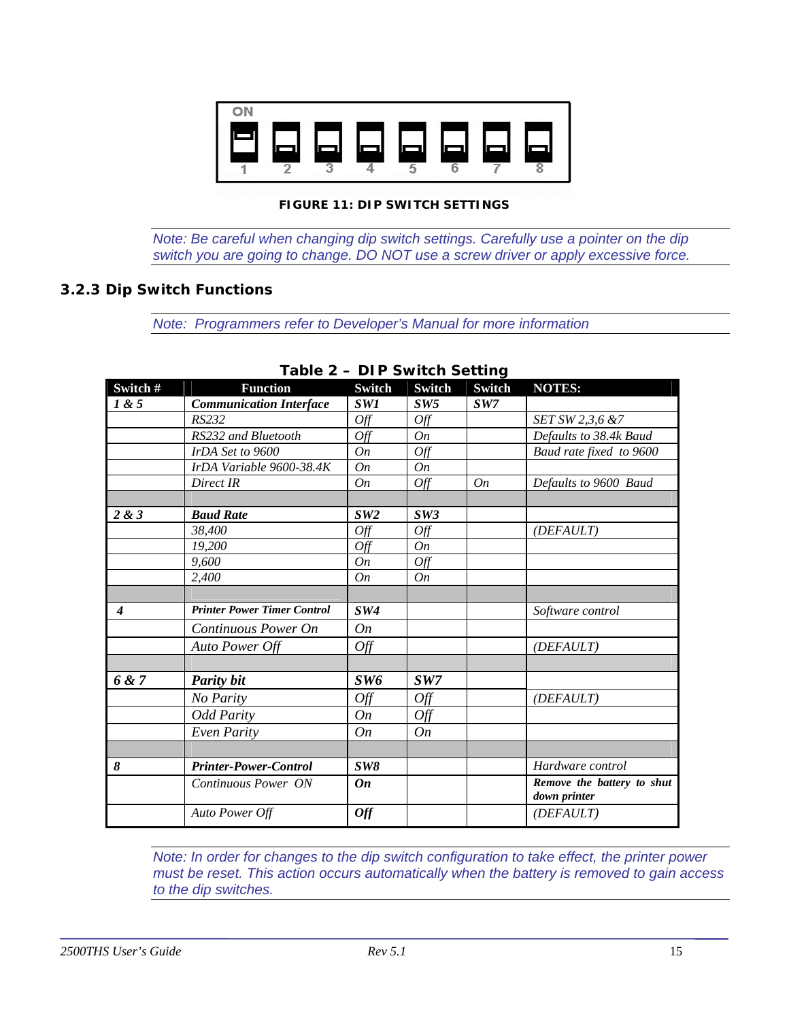<span id="page-14-0"></span>

#### **FIGURE 11: DIP SWITCH SETTINGS**

*Note: Be careful when changing dip switch settings. Carefully use a pointer on the dip switch you are going to change. DO NOT use a screw driver or apply excessive force.* 

#### *3.2.3 Dip Switch Functions*

*Note: Programmers refer to Developer's Manual for more information* 

| Switch #         | <b>Function</b>                    | <b>Switch</b> | <b>Switch</b> | Switch | <b>NOTES:</b>                              |
|------------------|------------------------------------|---------------|---------------|--------|--------------------------------------------|
| 1 & 5            | <b>Communication Interface</b>     | SW1           | SW5           | SW7    |                                            |
|                  | RS232                              | Off           | Off           |        | SET SW 2,3,6 &7                            |
|                  | RS232 and Bluetooth                | Off           | On            |        | Defaults to 38.4k Baud                     |
|                  | IrDA Set to 9600                   | On            | Off           |        | Baud rate fixed to 9600                    |
|                  | IrDA Variable 9600-38.4K           | On            | <b>On</b>     |        |                                            |
|                  | Direct IR                          | On            | Off           | On     | Defaults to 9600 Baud                      |
|                  |                                    |               |               |        |                                            |
| 2 & 3            | <b>Baud Rate</b>                   | SW2           | SW3           |        |                                            |
|                  | 38,400                             | Off           | Off           |        | (DEFAULT)                                  |
|                  | 19,200                             | Off           | On            |        |                                            |
|                  | 9,600                              | On            | Off           |        |                                            |
|                  | 2,400                              | On            | On            |        |                                            |
|                  |                                    |               |               |        |                                            |
| $\boldsymbol{4}$ | <b>Printer Power Timer Control</b> | SW4           |               |        | Software control                           |
|                  | Continuous Power On                | On            |               |        |                                            |
|                  | Auto Power Off                     | Off           |               |        | (DEFAULT)                                  |
|                  |                                    |               |               |        |                                            |
| 6 & 7            | <b>Parity bit</b>                  | SW6           | SW7           |        |                                            |
|                  | No Parity                          | Off           | Off           |        | (DEFAULT)                                  |
|                  | <b>Odd Parity</b>                  | On            | Off           |        |                                            |
|                  | <b>Even Parity</b>                 | On            | On            |        |                                            |
|                  |                                    |               |               |        |                                            |
| 8                | <b>Printer-Power-Control</b>       | SW8           |               |        | Hardware control                           |
|                  | Continuous Power ON                | On            |               |        | Remove the battery to shut<br>down printer |
|                  | Auto Power Off                     | <b>Off</b>    |               |        | (DEFAULT)                                  |

#### **Table 2 – DIP Switch Setting**

*Note: In order for changes to the dip switch configuration to take effect, the printer power must be reset. This action occurs automatically when the battery is removed to gain access to the dip switches.*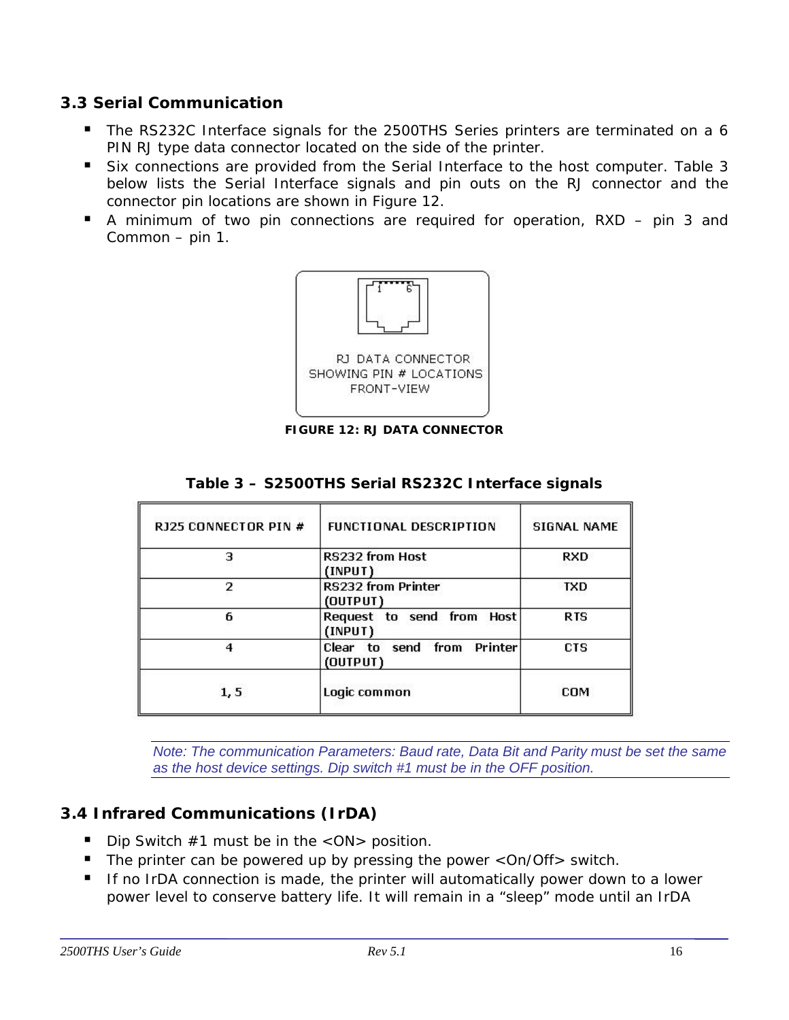## <span id="page-15-0"></span>**3.3 Serial Communication**

- The RS232C Interface signals for the 2500THS Series printers are terminated on a 6 PIN RJ type data connector located on the side of the printer.
- Six connections are provided from the Serial Interface to the host computer. Table 3 below lists the Serial Interface signals and pin outs on the RJ connector and the connector pin locations are shown in Figure 12.
- A minimum of two pin connections are required for operation, RXD pin 3 and Common – pin 1.



**FIGURE 12: RJ DATA CONNECTOR** 

| RJ25 CONNECTOR PIN # | <b>FUNCTIONAL DESCRIPTION</b>          | <b>SIGNAL NAME</b> |
|----------------------|----------------------------------------|--------------------|
| э                    | <b>RS232 from Host</b><br>(INPUT)      | <b>RXD</b>         |
| 2                    | RS232 from Printer<br>(OUTPUT)         | <b>TXD</b>         |
| 6                    | Request to send from Host<br>(INPUT)   | <b>RTS</b>         |
|                      | Clear to send from Printer<br>(OUTPUT) | CTS                |
| 1, 5                 | Logic common                           | COM                |

#### **Table 3 – S2500THS Serial RS232C Interface signals**

*Note: The communication Parameters: Baud rate, Data Bit and Parity must be set the same as the host device settings. Dip switch #1 must be in the OFF position.* 

# **3.4 Infrared Communications (IrDA)**

- Dip Switch  $#1$  must be in the  $<$ ON $>$  position.
- The printer can be powered up by pressing the power < On/Off > switch.
- If no IrDA connection is made, the printer will automatically power down to a lower power level to conserve battery life. It will remain in a "sleep" mode until an IrDA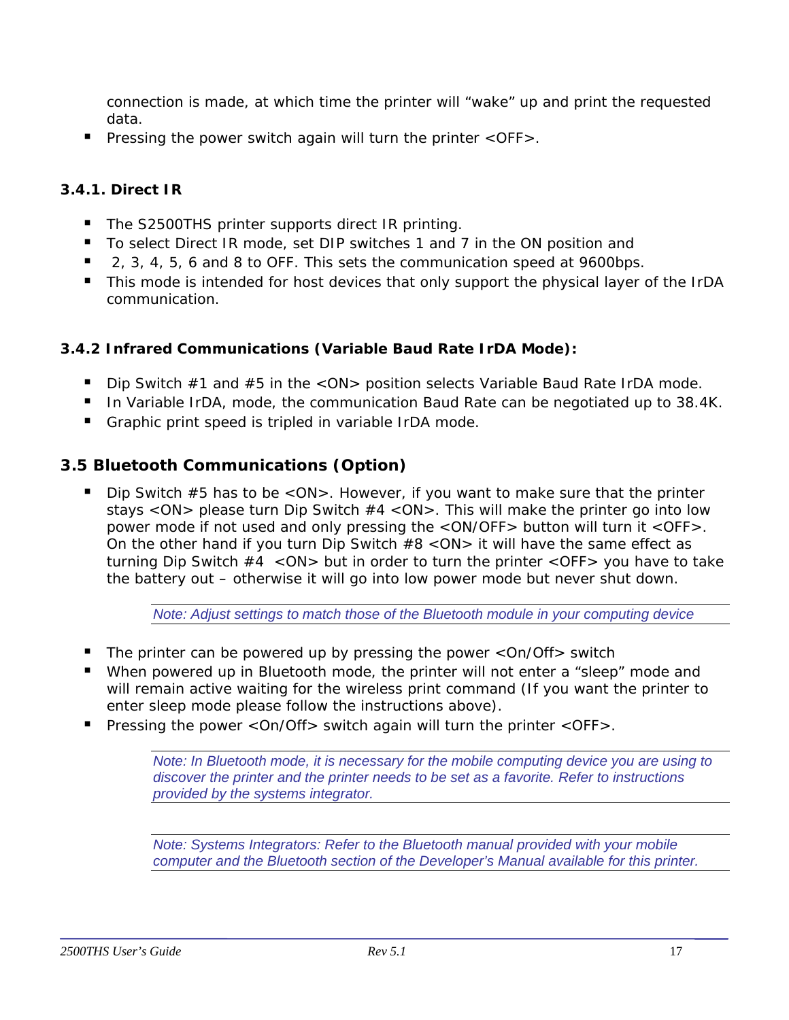<span id="page-16-0"></span>connection is made, at which time the printer will "wake" up and print the requested data.

**Pressing the power switch again will turn the printer**  $\langle$  **OFF** $\rangle$ **.** 

## *3.4.1. Direct IR*

- The S2500THS printer supports direct IR printing.
- To select Direct IR mode, set DIP switches 1 and 7 in the ON position and
- 2, 3, 4, 5, 6 and 8 to OFF. This sets the communication speed at 9600bps.
- This mode is intended for host devices that only support the physical layer of the IrDA communication.

#### *3.4.2 Infrared Communications (Variable Baud Rate IrDA Mode):*

- Dip Switch  $#1$  and  $#5$  in the  $\langle$  ON $\rangle$  position selects Variable Baud Rate IrDA mode.
- In Variable IrDA, mode, the communication Baud Rate can be negotiated up to 38.4K.
- Graphic print speed is tripled in variable IrDA mode.

# **3.5 Bluetooth Communications (Option)**

Dip Switch  $#5$  has to be  $\langle$  ON $\rangle$ . However, if you want to make sure that the printer stays <ON> please turn Dip Switch #4 <ON>. This will make the printer go into low power mode if not used and only pressing the <ON/OFF> button will turn it <OFF>. On the other hand if you turn Dip Switch #8 <ON> it will have the same effect as turning Dip Switch  $#4 <$  ON $>$  but in order to turn the printer <OFF $>$  you have to take the battery out – otherwise it will go into low power mode but never shut down.

*Note: Adjust settings to match those of the Bluetooth module in your computing device* 

- The printer can be powered up by pressing the power  $\langle$ On/Off $\rangle$  switch
- When powered up in Bluetooth mode, the printer will not enter a "sleep" mode and will remain active waiting for the wireless print command (If you want the printer to enter sleep mode please follow the instructions above).
- Pressing the power  $\langle$  On/Off $>$  switch again will turn the printer  $\langle$  OFF $>$ .

*Note: In Bluetooth mode, it is necessary for the mobile computing device you are using to discover the printer and the printer needs to be set as a favorite. Refer to instructions provided by the systems integrator.* 

*Note: Systems Integrators: Refer to the Bluetooth manual provided with your mobile computer and the Bluetooth section of the Developer's Manual available for this printer.*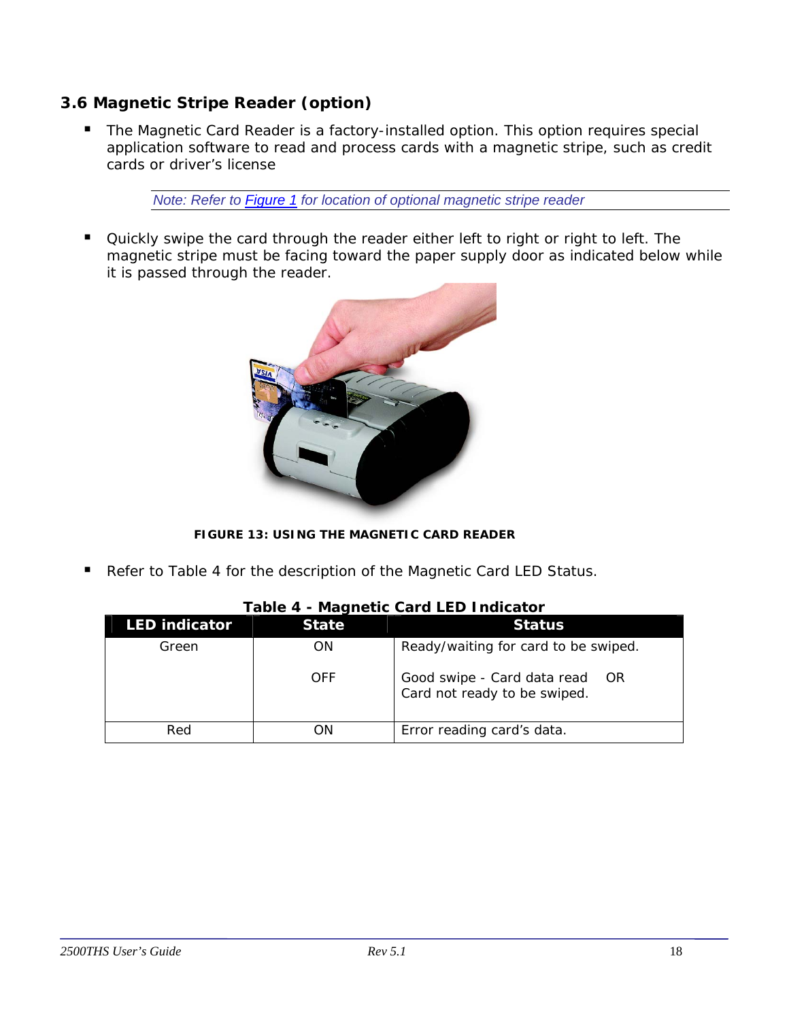# <span id="page-17-0"></span>**3.6 Magnetic Stripe Reader (option)**

**The Magnetic Card Reader is a factory-installed option. This option requires special** application software to read and process cards with a magnetic stripe, such as credit cards or driver's license

*Note: Refer to [Figure 1](#page-5-0) for location of optional magnetic stripe reader* 

 Quickly swipe the card through the reader either left to right or right to left. The magnetic stripe must be facing toward the paper supply door as indicated below while it is passed through the reader.



**FIGURE 13: USING THE MAGNETIC CARD READER**

Refer to Table 4 for the description of the Magnetic Card LED Status.

| I UNIV T             |              |                                                                     |  |  |
|----------------------|--------------|---------------------------------------------------------------------|--|--|
| <b>LED indicator</b> | <b>State</b> | <b>Status</b>                                                       |  |  |
| Green                | ΟN           | Ready/waiting for card to be swiped.                                |  |  |
|                      | OFF          | Good swipe - Card data read<br>- OR<br>Card not ready to be swiped. |  |  |
| Red                  | ΟN           | Error reading card's data.                                          |  |  |

#### **Table 4 - Magnetic Card LED Indicator**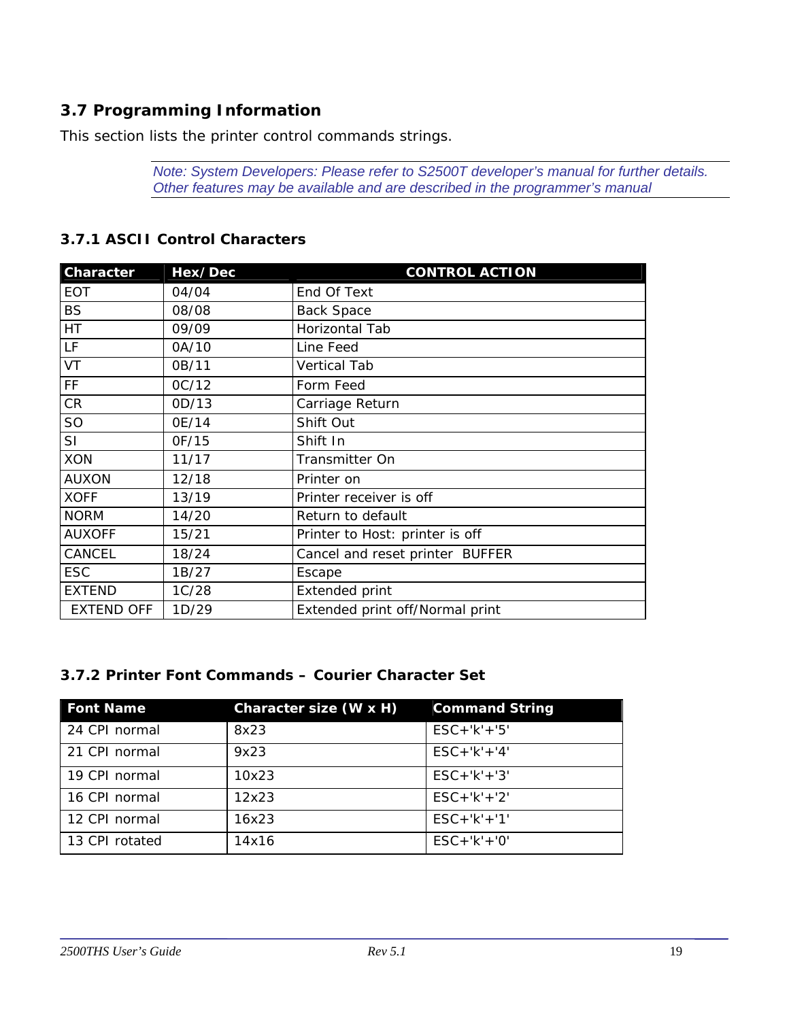# <span id="page-18-0"></span>**3.7 Programming Information**

This section lists the printer control commands strings.

*Note: System Developers: Please refer to S2500T developer's manual for further details. Other features may be available and are described in the programmer's manual* 

| <b>Character</b>  | Hex/Dec | <b>CONTROL ACTION</b>           |
|-------------------|---------|---------------------------------|
| <b>EOT</b>        | 04/04   | End Of Text                     |
| <b>BS</b>         | 08/08   | <b>Back Space</b>               |
| HT                | 09/09   | Horizontal Tab                  |
| LF                | 0A/10   | Line Feed                       |
| VT                | 0B/11   | <b>Vertical Tab</b>             |
| FF                | OC/12   | Form Feed                       |
| CR                | 0D/13   | Carriage Return                 |
| SO                | 0E/14   | Shift Out                       |
| SI                | OF/15   | Shift In                        |
| <b>XON</b>        | 11/17   | Transmitter On                  |
| <b>AUXON</b>      | 12/18   | Printer on                      |
| <b>XOFF</b>       | 13/19   | Printer receiver is off         |
| <b>NORM</b>       | 14/20   | Return to default               |
| <b>AUXOFF</b>     | 15/21   | Printer to Host: printer is off |
| CANCEL            | 18/24   | Cancel and reset printer BUFFER |
| <b>ESC</b>        | 1B/27   | Escape                          |
| <b>EXTEND</b>     | 1C/28   | <b>Extended print</b>           |
| <b>EXTEND OFF</b> | 1D/29   | Extended print off/Normal print |

#### *3.7.1 ASCII Control Characters*

#### *3.7.2 Printer Font Commands – Courier Character Set*

| <b>Font Name</b> | Character size (W x H) | <b>Command String</b> |
|------------------|------------------------|-----------------------|
| 24 CPI normal    | 8x23                   | $ESC + 'k' + '5'$     |
| 21 CPI normal    | 9x23                   | $ESC + 'k' + '4'$     |
| 19 CPI normal    | 10x23                  | $ESC + 'k' + '3'$     |
| 16 CPI normal    | 12x23                  | $ESC + 'k' + '2'$     |
| 12 CPI normal    | 16x23                  | $ESC + 'k' + '1'$     |
| 13 CPI rotated   | 14x16                  | $ESC + 'k' + '0'$     |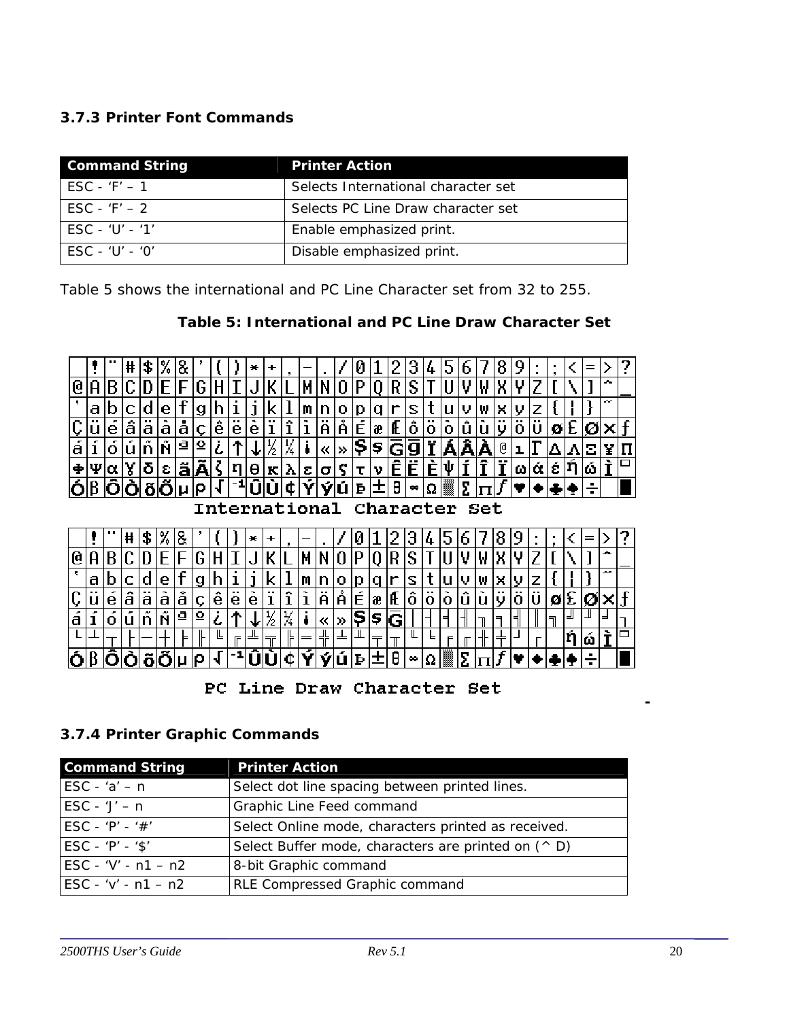## *3.7.3 Printer Font Commands*

| <b>Command String</b>                | <b>Printer Action</b>               |
|--------------------------------------|-------------------------------------|
| $\text{ESC} - \text{'}\text{F'} - 1$ | Selects International character set |
| $\text{FSC} - \text{'}\text{F'} - 2$ | Selects PC Line Draw character set  |
| $FSC - 'U' - '1'$                    | Enable emphasized print.            |
| $FSC - 'U' - 'O'$                    | Disable emphasized print.           |

Table 5 shows the international and PC Line Character set from 32 to 255.

#### **Table 5: International and PC Line Draw Character Set**



PC Line Draw Character Set

#### *3.7.4 Printer Graphic Commands*

| <b>Command String</b>                     | <b>Printer Action</b>                                       |
|-------------------------------------------|-------------------------------------------------------------|
| ESC - ' $a'$ - n                          | Select dot line spacing between printed lines.              |
| $\textsf{ESC} - \textsf{Y}' - \textsf{n}$ | Graphic Line Feed command                                   |
| ESC - 'P' - '#'                           | Select Online mode, characters printed as received.         |
| $ESC - 'P' - '$'$                         | Select Buffer mode, characters are printed on $(^\wedge$ D) |
| $\text{ESC} - \text{'}V - n1 - n2$        | 8-bit Graphic command                                       |
| $\text{ESC} - \text{'v'} - n1 - n2$       | RLE Compressed Graphic command                              |

*-*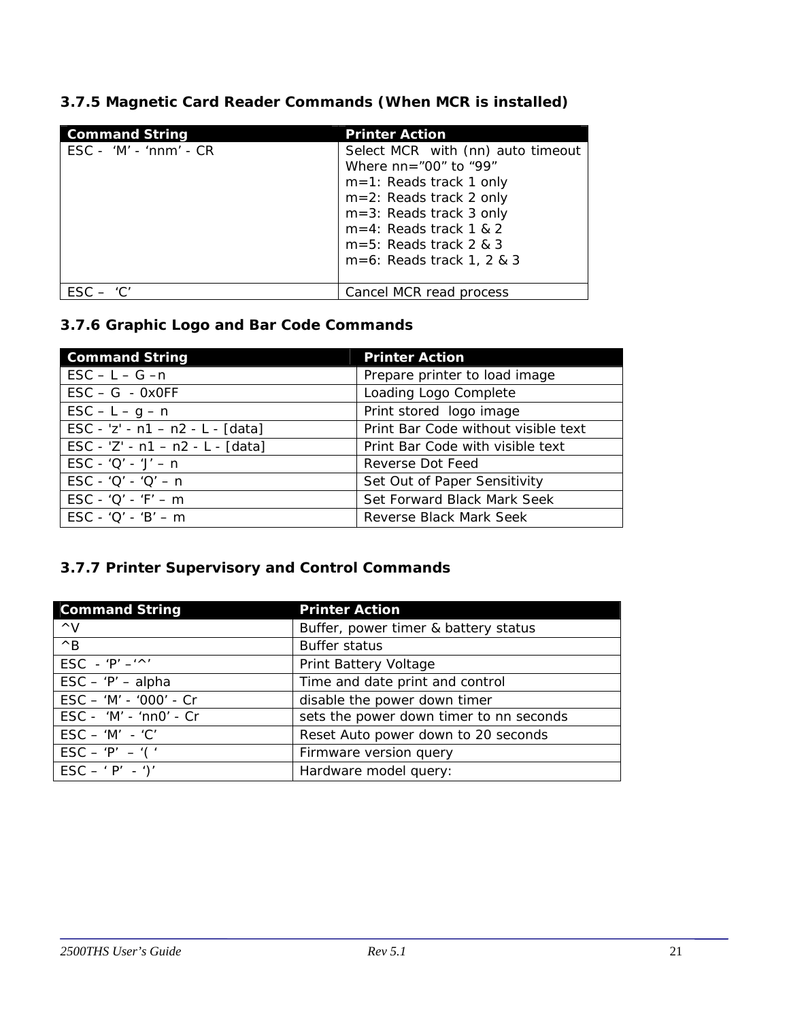| 3.7.5 Magnetic Card Reader Commands (When MCR is installed) |  |
|-------------------------------------------------------------|--|
|-------------------------------------------------------------|--|

| <b>Command String</b>                        | <b>Printer Action</b>                                                                                                                                                                 |
|----------------------------------------------|---------------------------------------------------------------------------------------------------------------------------------------------------------------------------------------|
| $\textsf{ESC}$ - 'M' - 'nnm' - $\textsf{CR}$ | Select MCR with (nn) auto timeout<br>Where $nn = "00"$ to "99"<br>$m=1$ : Reads track 1 only<br>$m=2$ : Reads track 2 only<br>$m=3$ : Reads track 3 only<br>$m=4$ : Reads track 1 & 2 |
|                                              | $m=5$ : Reads track 2 & 3<br>$m=6$ : Reads track 1, 2 & 3                                                                                                                             |
| FSC.                                         | Cancel MCR read process                                                                                                                                                               |

# *3.7.6 Graphic Logo and Bar Code Commands*

| <b>Command String</b>                                 | <b>Printer Action</b>               |
|-------------------------------------------------------|-------------------------------------|
| $\mathsf{ESC} - \mathsf{L} - \mathsf{G} - \mathsf{n}$ | Prepare printer to load image       |
| $\text{ESC} - \text{G} - \text{0xOFF}$                | Loading Logo Complete               |
| $\textsf{ESC} - \textsf{L} - \textsf{g} - \textsf{n}$ | Print stored logo image             |
| $\text{ESC} - 'z' - n1 - n2 - L - [data]$             | Print Bar Code without visible text |
| $\text{ESC} - 'Z' - n1 - n2 - L - [data]$             | Print Bar Code with visible text    |
| $\text{ESC} - 'Q' - 'J' - n$                          | Reverse Dot Feed                    |
| $\text{ESC} - 'Q' - 'Q' - n$                          | Set Out of Paper Sensitivity        |
| $\textsf{ESC} - 'Q' - 'F' - m$                        | Set Forward Black Mark Seek         |
| $\text{ESC} - 'O' - 'B' - m$                          | Reverse Black Mark Seek             |

# *3.7.7 Printer Supervisory and Control Commands*

| <b>Command String</b>                          | <b>Printer Action</b>                   |
|------------------------------------------------|-----------------------------------------|
| $\wedge$ V                                     | Buffer, power timer & battery status    |
| $\wedge$ B                                     | <b>Buffer status</b>                    |
| $ESC - 'P' - '^'$                              | Print Battery Voltage                   |
| $\textsf{ESC} - \textsf{'P'} - \textsf{alpha}$ | Time and date print and control         |
| ESC - 'M' - '000' - Cr                         | disable the power down timer            |
| $\text{ESC} - 'M' - 'n nO' - Cr$               | sets the power down timer to nn seconds |
| $\mathsf{ESC} - 'M' - 'C'$                     | Reset Auto power down to 20 seconds     |
| $\text{ESC} - 'P' - '('$                       | Firmware version query                  |
| $\text{ESC} - ' \text{P'} - ')'$               | Hardware model query:                   |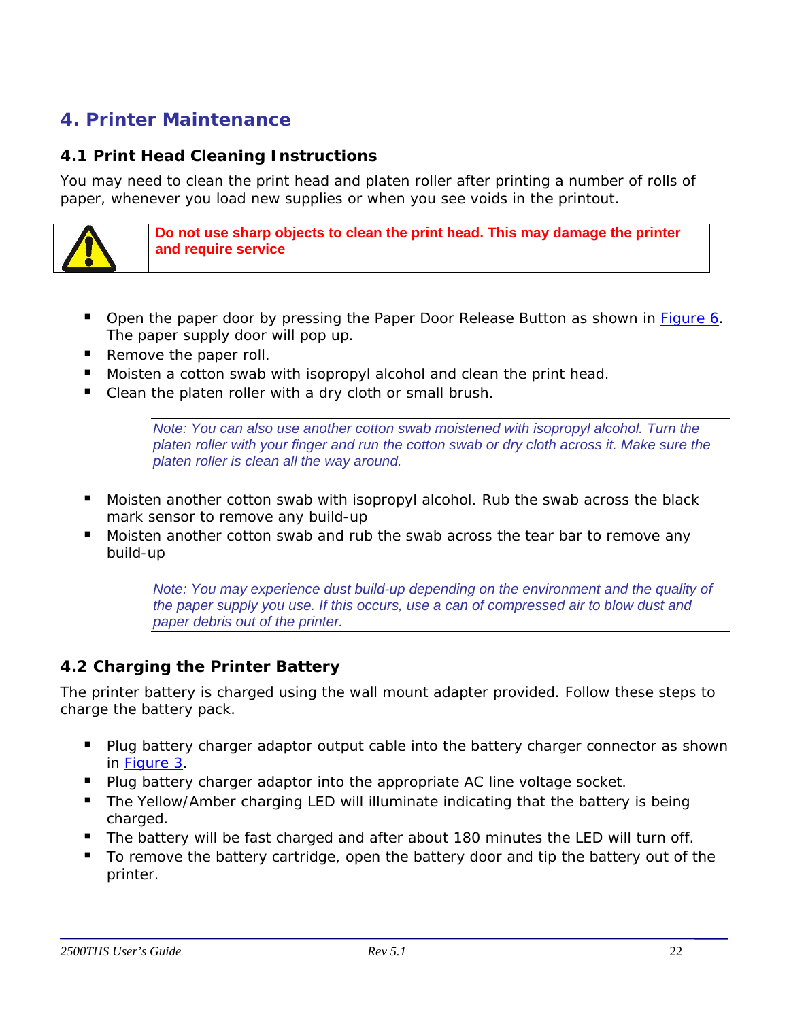# <span id="page-21-0"></span>**4. Printer Maintenance**

# **4.1 Print Head Cleaning Instructions**

You may need to clean the print head and platen roller after printing a number of rolls of paper, whenever you load new supplies or when you see voids in the printout.



**Do not use sharp objects to clean the print head. This may damage the printer and require service** 

- Open the paper door by pressing the Paper Door Release Button as shown in **[Figure 6](#page-10-0)**. The paper supply door will pop up.
- Remove the paper roll.
- Moisten a cotton swab with isopropyl alcohol and clean the print head.
- Clean the platen roller with a dry cloth or small brush.

*Note: You can also use another cotton swab moistened with isopropyl alcohol. Turn the platen roller with your finger and run the cotton swab or dry cloth across it. Make sure the platen roller is clean all the way around.* 

- Moisten another cotton swab with isopropyl alcohol. Rub the swab across the black mark sensor to remove any build-up
- **Moisten another cotton swab and rub the swab across the tear bar to remove any** build-up

*Note: You may experience dust build-up depending on the environment and the quality of the paper supply you use. If this occurs, use a can of compressed air to blow dust and paper debris out of the printer.* 

## **4.2 Charging the Printer Battery**

The printer battery is charged using the wall mount adapter provided. Follow these steps to charge the battery pack.

- Plug battery charger adaptor output cable into the battery charger connector as shown in [Figure 3.](#page-7-0)
- Plug battery charger adaptor into the appropriate AC line voltage socket.
- The Yellow/Amber charging LED will illuminate indicating that the battery is being charged.
- The battery will be fast charged and after about 180 minutes the LED will turn off.
- To remove the battery cartridge, open the battery door and tip the battery out of the printer.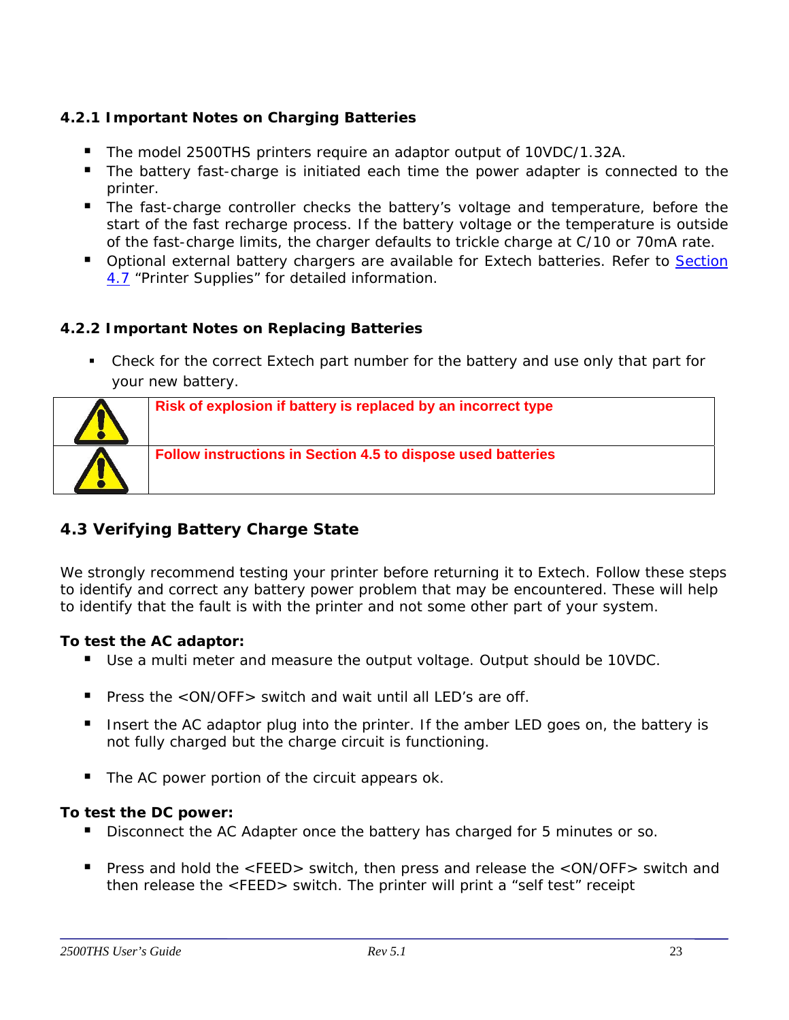# <span id="page-22-0"></span>*4.2.1 Important Notes on Charging Batteries*

- The model 2500THS printers require an adaptor output of 10VDC/1.32A.
- The battery fast-charge is initiated each time the power adapter is connected to the printer.
- The fast-charge controller checks the battery's voltage and temperature, before the start of the fast recharge process. If the battery voltage or the temperature is outside of the fast-charge limits, the charger defaults to trickle charge at C/10 or 70mA rate.
- **D** Optional external battery chargers are available for Extech batteries. Refer to Section [4.7](#page-25-0) "Printer Supplies" for detailed information.

## *4.2.2 Important Notes on Replacing Batteries*

• Check for the correct Extech part number for the battery and use only that part for your new battery.



# **4.3 Verifying Battery Charge State**

We strongly recommend testing your printer before returning it to Extech. Follow these steps to identify and correct any battery power problem that may be encountered. These will help to identify that the fault is with the printer and not some other part of your system.

## **To test the AC adaptor:**

- Use a multi meter and measure the output voltage. Output should be 10VDC.
- Press the <ON/OFF> switch and wait until all LED's are off.
- Insert the AC adaptor plug into the printer. If the amber LED goes on, the battery is not fully charged but the charge circuit is functioning.
- The AC power portion of the circuit appears ok.

#### **To test the DC power:**

- Disconnect the AC Adapter once the battery has charged for 5 minutes or so.
- Press and hold the <FEED> switch, then press and release the <ON/OFF> switch and then release the <FEED> switch. The printer will print a "self test" receipt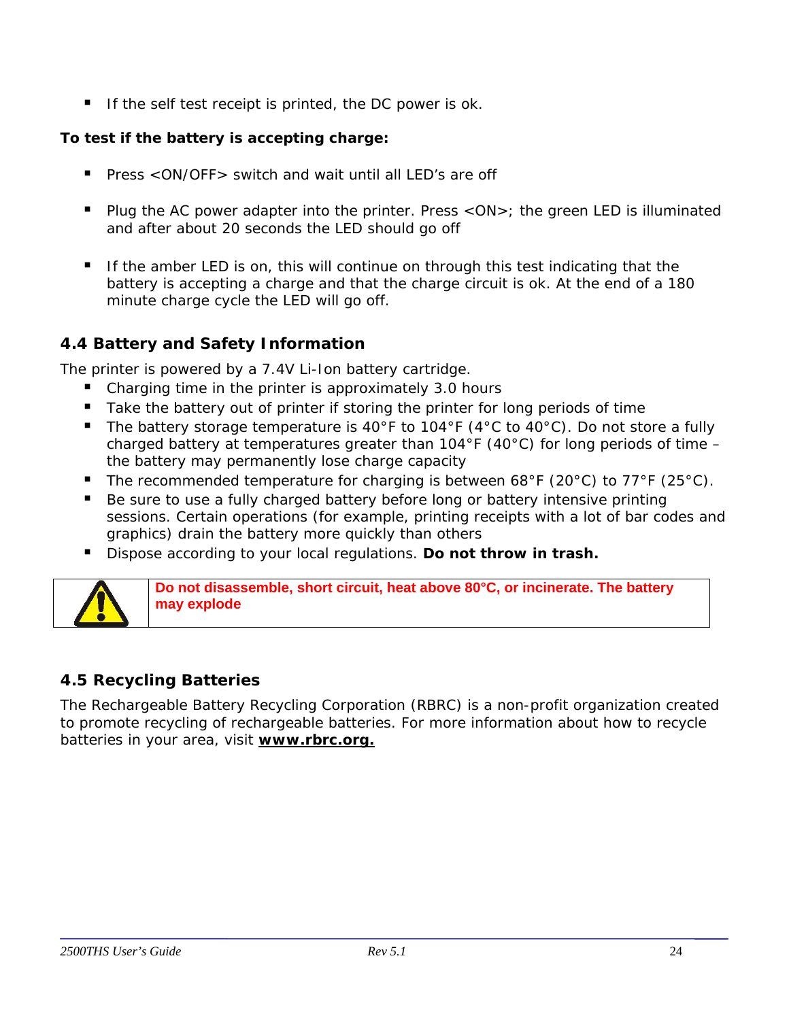<span id="page-23-0"></span>If the self test receipt is printed, the DC power is ok.

## **To test if the battery is accepting charge:**

- Press  $\langle$  ON/OFF  $>$  switch and wait until all LED's are off
- Plug the AC power adapter into the printer. Press <ON>; the green LED is illuminated and after about 20 seconds the LED should go off
- If the amber LED is on, this will continue on through this test indicating that the battery is accepting a charge and that the charge circuit is ok. At the end of a 180 minute charge cycle the LED will go off.

# **4.4 Battery and Safety Information**

The printer is powered by a 7.4V Li-Ion battery cartridge.

- Charging time in the printer is approximately 3.0 hours
- Take the battery out of printer if storing the printer for long periods of time
- The battery storage temperature is 40°F to 104°F (4°C to 40°C). Do not store a fully charged battery at temperatures greater than  $104^{\circ}F$  (40 $^{\circ}C$ ) for long periods of time – the battery may permanently lose charge capacity
- The recommended temperature for charging is between 68°F (20°C) to 77°F (25°C).
- Be sure to use a fully charged battery before long or battery intensive printing sessions. Certain operations (for example, printing receipts with a lot of bar codes and graphics) drain the battery more quickly than others
- Dispose according to your local regulations. **Do not throw in trash.**



**Do not disassemble, short circuit, heat above 80°C, or incinerate. The battery may explode** 

## **4.5 Recycling Batteries**

The Rechargeable Battery Recycling Corporation (RBRC) is a non-profit organization created to promote recycling of rechargeable batteries. For more information about how to recycle batteries in your area, visit **www.rbrc.org.**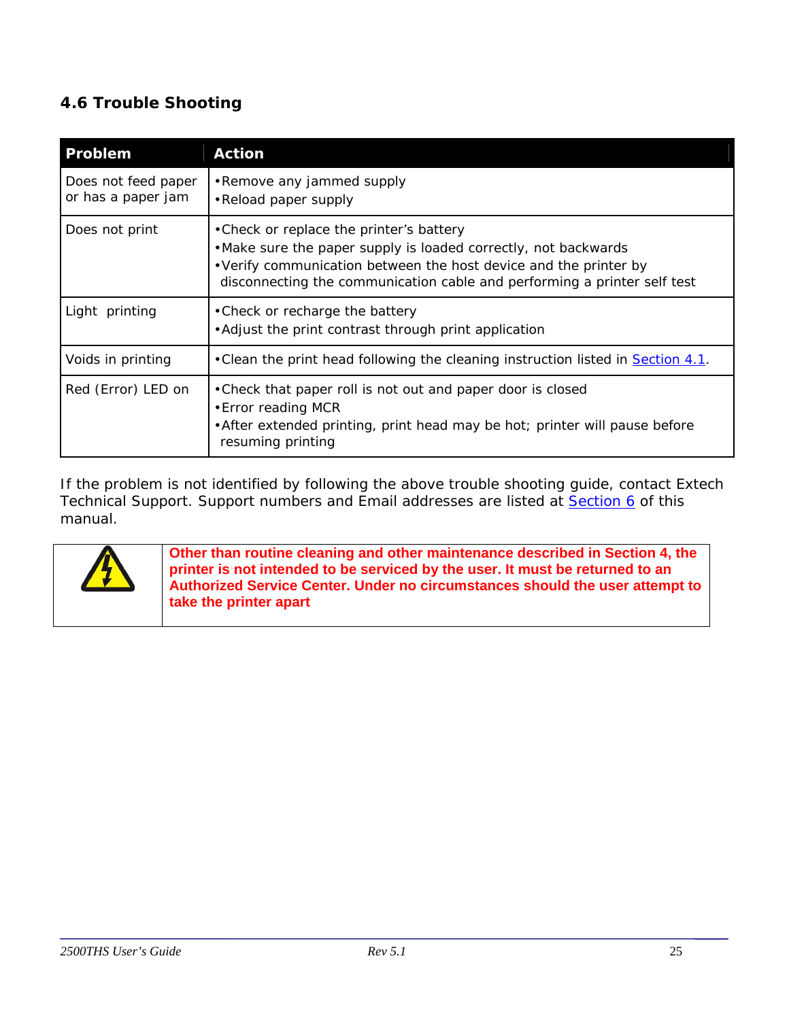# <span id="page-24-0"></span>**4.6 Trouble Shooting**

| Problem                                   | <b>Action</b>                                                                                                                                                                                                                                                |
|-------------------------------------------|--------------------------------------------------------------------------------------------------------------------------------------------------------------------------------------------------------------------------------------------------------------|
| Does not feed paper<br>or has a paper jam | •Remove any jammed supply<br>•Reload paper supply                                                                                                                                                                                                            |
| Does not print                            | • Check or replace the printer's battery<br>. Make sure the paper supply is loaded correctly, not backwards<br>• Verify communication between the host device and the printer by<br>disconnecting the communication cable and performing a printer self test |
| Light printing                            | • Check or recharge the battery<br>• Adjust the print contrast through print application                                                                                                                                                                     |
| Voids in printing                         | • Clean the print head following the cleaning instruction listed in <b>Section 4.1</b> .                                                                                                                                                                     |
| Red (Error) LED on                        | • Check that paper roll is not out and paper door is closed<br>• Error reading MCR<br>• After extended printing, print head may be hot; printer will pause before<br>resuming printing                                                                       |

If the problem is not identified by following the above trouble shooting guide, contact Extech Technical Support. Support numbers and Email addresses are listed at [Section 6](#page-28-0) of this manual.



**Other than routine cleaning and other maintenance described in Section 4, the printer is not intended to be serviced by the user. It must be returned to an Authorized Service Center. Under no circumstances should the user attempt to take the printer apart**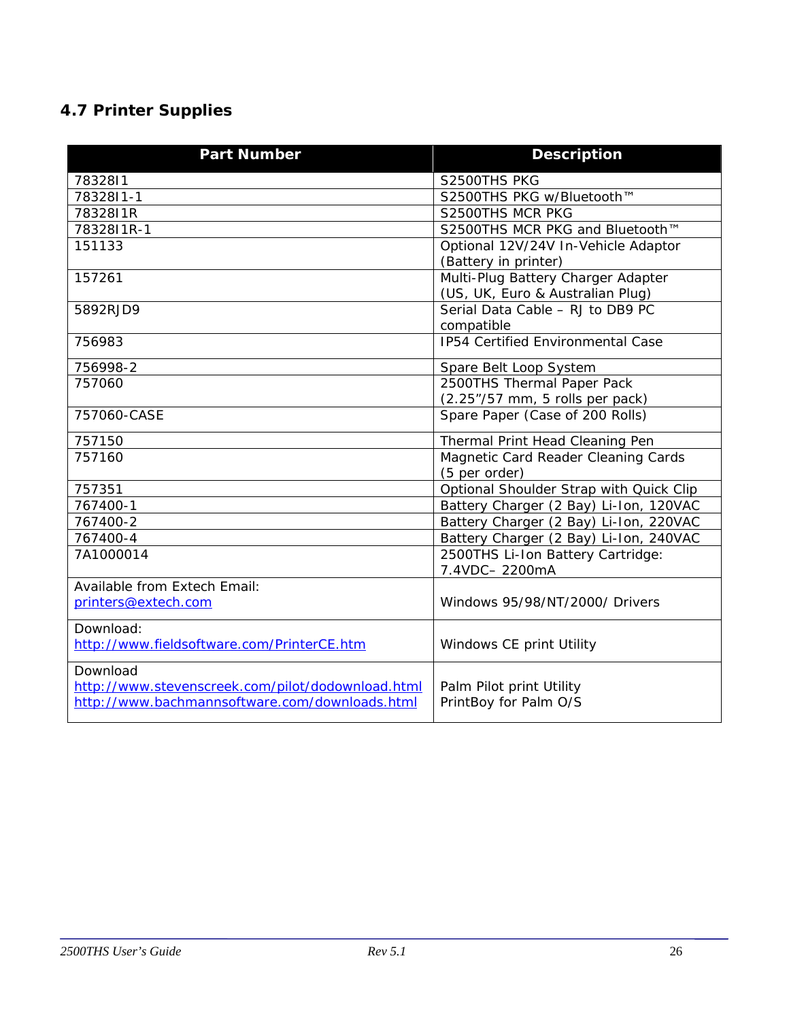# <span id="page-25-0"></span>**4.7 Printer Supplies**

| <b>Part Number</b>                                | <b>Description</b>                                                                |
|---------------------------------------------------|-----------------------------------------------------------------------------------|
| 7832811                                           | S2500THS PKG                                                                      |
| 7832811-1                                         | S2500THS PKG w/Bluetooth™                                                         |
| 7832811R                                          | S2500THS MCR PKG                                                                  |
| 7832811R-1                                        | S2500THS MCR PKG and Bluetooth™                                                   |
| 151133                                            | Optional 12V/24V In-Vehicle Adaptor                                               |
|                                                   | (Battery in printer)                                                              |
| 157261                                            | Multi-Plug Battery Charger Adapter                                                |
|                                                   | (US, UK, Euro & Australian Plug)                                                  |
| 5892RJD9                                          | Serial Data Cable - RJ to DB9 PC                                                  |
|                                                   | compatible                                                                        |
| 756983                                            | IP54 Certified Environmental Case                                                 |
| 756998-2                                          | Spare Belt Loop System                                                            |
| 757060                                            | 2500THS Thermal Paper Pack                                                        |
|                                                   | (2.25"/57 mm, 5 rolls per pack)                                                   |
| 757060-CASE                                       | Spare Paper (Case of 200 Rolls)                                                   |
| 757150                                            | Thermal Print Head Cleaning Pen                                                   |
| 757160                                            | Magnetic Card Reader Cleaning Cards                                               |
| 757351                                            | (5 per order)                                                                     |
| 767400-1                                          | Optional Shoulder Strap with Quick Clip<br>Battery Charger (2 Bay) Li-Ion, 120VAC |
| 767400-2                                          | Battery Charger (2 Bay) Li-Ion, 220VAC                                            |
| 767400-4                                          | Battery Charger (2 Bay) Li-Ion, 240VAC                                            |
| 7A1000014                                         | 2500THS Li-Ion Battery Cartridge:                                                 |
|                                                   | 7.4VDC-2200mA                                                                     |
| Available from Extech Email:                      |                                                                                   |
| printers@extech.com                               | Windows 95/98/NT/2000/ Drivers                                                    |
| Download:                                         |                                                                                   |
| http://www.fieldsoftware.com/PrinterCE.htm        | Windows CE print Utility                                                          |
| Download                                          |                                                                                   |
| http://www.stevenscreek.com/pilot/dodownload.html | Palm Pilot print Utility                                                          |
| http://www.bachmannsoftware.com/downloads.html    | PrintBoy for Palm O/S                                                             |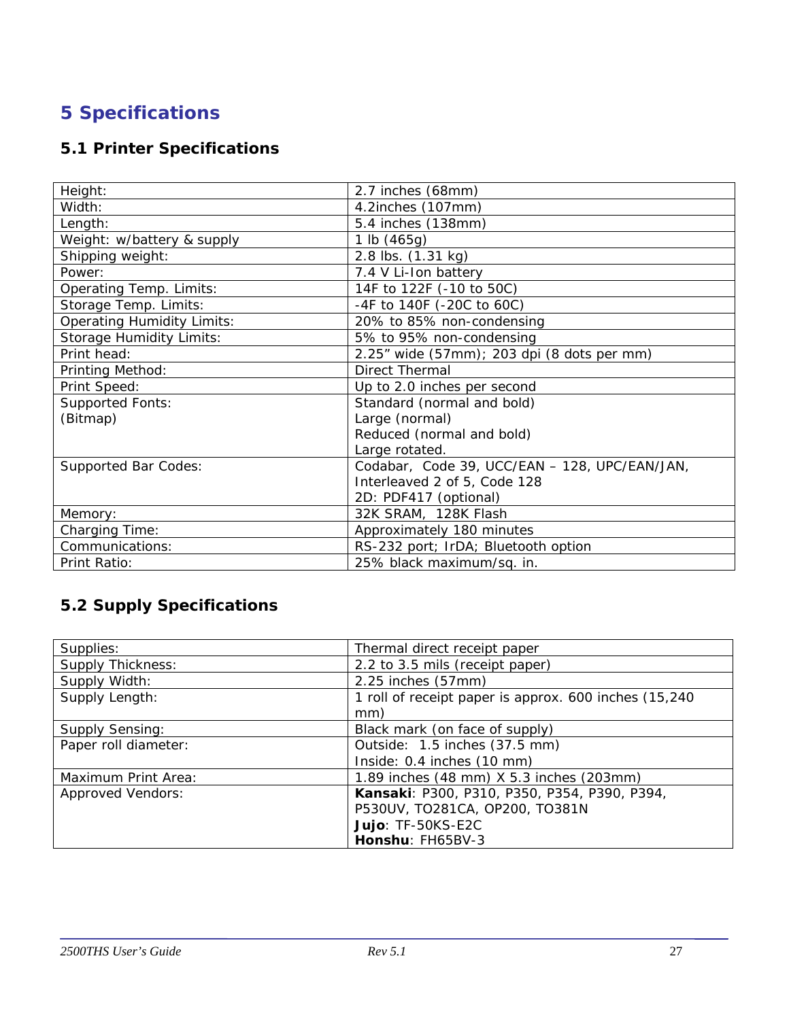# <span id="page-26-0"></span>**5 Specifications**

# **5.1 Printer Specifications**

| Height:                           | 2.7 inches (68mm)                             |
|-----------------------------------|-----------------------------------------------|
| Width:                            | 4.2inches (107mm)                             |
| Length:                           | 5.4 inches (138mm)                            |
| Weight: w/battery & supply        | 1 lb $(465g)$                                 |
| Shipping weight:                  | 2.8 lbs. (1.31 kg)                            |
| Power:                            | 7.4 V Li-Ion battery                          |
| Operating Temp. Limits:           | 14F to 122F (-10 to 50C)                      |
| Storage Temp. Limits:             | -4F to 140F (-20C to 60C)                     |
| <b>Operating Humidity Limits:</b> | 20% to 85% non-condensing                     |
| <b>Storage Humidity Limits:</b>   | 5% to 95% non-condensing                      |
| Print head:                       | 2.25" wide (57mm); 203 dpi (8 dots per mm)    |
| Printing Method:                  | Direct Thermal                                |
| Print Speed:                      | Up to 2.0 inches per second                   |
| <b>Supported Fonts:</b>           | Standard (normal and bold)                    |
| (Bitmap)                          | Large (normal)                                |
|                                   | Reduced (normal and bold)                     |
|                                   | Large rotated.                                |
| <b>Supported Bar Codes:</b>       | Codabar, Code 39, UCC/EAN - 128, UPC/EAN/JAN, |
|                                   | Interleaved 2 of 5, Code 128                  |
|                                   | 2D: PDF417 (optional)                         |
| Memory:                           | 32K SRAM, 128K Flash                          |
| <b>Charging Time:</b>             | Approximately 180 minutes                     |
| Communications:                   | RS-232 port; IrDA; Bluetooth option           |
| Print Ratio:                      | 25% black maximum/sq. in.                     |

# **5.2 Supply Specifications**

| Supplies:                | Thermal direct receipt paper                          |
|--------------------------|-------------------------------------------------------|
| <b>Supply Thickness:</b> | 2.2 to 3.5 mils (receipt paper)                       |
| Supply Width:            | 2.25 inches (57mm)                                    |
| Supply Length:           | 1 roll of receipt paper is approx. 600 inches (15,240 |
|                          | mm)                                                   |
| <b>Supply Sensing:</b>   | Black mark (on face of supply)                        |
| Paper roll diameter:     | Outside: 1.5 inches (37.5 mm)                         |
|                          | Inside: 0.4 inches (10 mm)                            |
| Maximum Print Area:      | 1.89 inches (48 mm) X 5.3 inches (203mm)              |
| <b>Approved Vendors:</b> | Kansaki: P300, P310, P350, P354, P390, P394,          |
|                          | P530UV, TO281CA, OP200, TO381N                        |
|                          | Jujo: TF-50KS-E2C                                     |
|                          | Honshu: FH65BV-3                                      |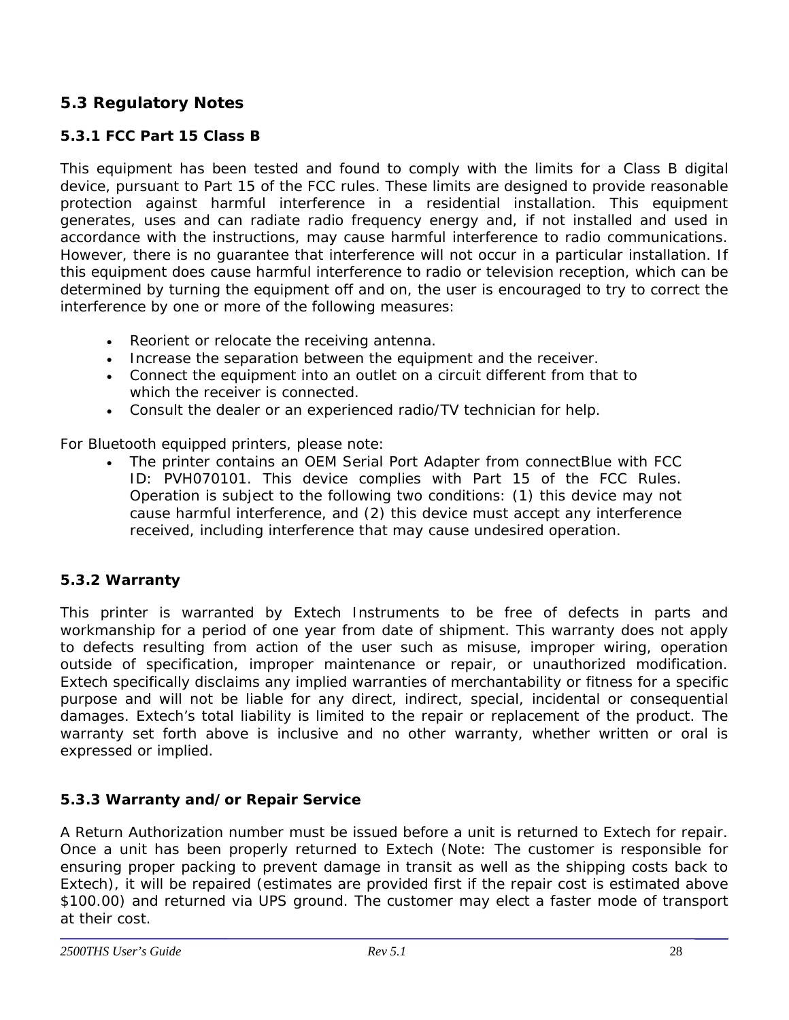# <span id="page-27-0"></span>**5.3 Regulatory Notes**

# *5.3.1 FCC Part 15 Class B*

This equipment has been tested and found to comply with the limits for a Class B digital device, pursuant to Part 15 of the FCC rules. These limits are designed to provide reasonable protection against harmful interference in a residential installation. This equipment generates, uses and can radiate radio frequency energy and, if not installed and used in accordance with the instructions, may cause harmful interference to radio communications. However, there is no guarantee that interference will not occur in a particular installation. If this equipment does cause harmful interference to radio or television reception, which can be determined by turning the equipment off and on, the user is encouraged to try to correct the interference by one or more of the following measures:

- Reorient or relocate the receiving antenna.
- Increase the separation between the equipment and the receiver.
- Connect the equipment into an outlet on a circuit different from that to which the receiver is connected.
- Consult the dealer or an experienced radio/TV technician for help.

For Bluetooth equipped printers, please note:

• The printer contains an OEM Serial Port Adapter from connectBlue with FCC ID: PVH070101. This device complies with Part 15 of the FCC Rules. Operation is subject to the following two conditions: (1) this device may not cause harmful interference, and (2) this device must accept any interference received, including interference that may cause undesired operation.

## *5.3.2 Warranty*

This printer is warranted by Extech Instruments to be free of defects in parts and workmanship for a period of one year from date of shipment. This warranty does not apply to defects resulting from action of the user such as misuse, improper wiring, operation outside of specification, improper maintenance or repair, or unauthorized modification. Extech specifically disclaims any implied warranties of merchantability or fitness for a specific purpose and will not be liable for any direct, indirect, special, incidental or consequential damages. Extech's total liability is limited to the repair or replacement of the product. The warranty set forth above is inclusive and no other warranty, whether written or oral is expressed or implied.

## *5.3.3 Warranty and/or Repair Service*

A Return Authorization number must be issued before a unit is returned to Extech for repair. Once a unit has been properly returned to Extech (Note: The customer is responsible for ensuring proper packing to prevent damage in transit as well as the shipping costs back to Extech), it will be repaired (estimates are provided first if the repair cost is estimated above \$100.00) and returned via UPS ground. The customer may elect a faster mode of transport at their cost.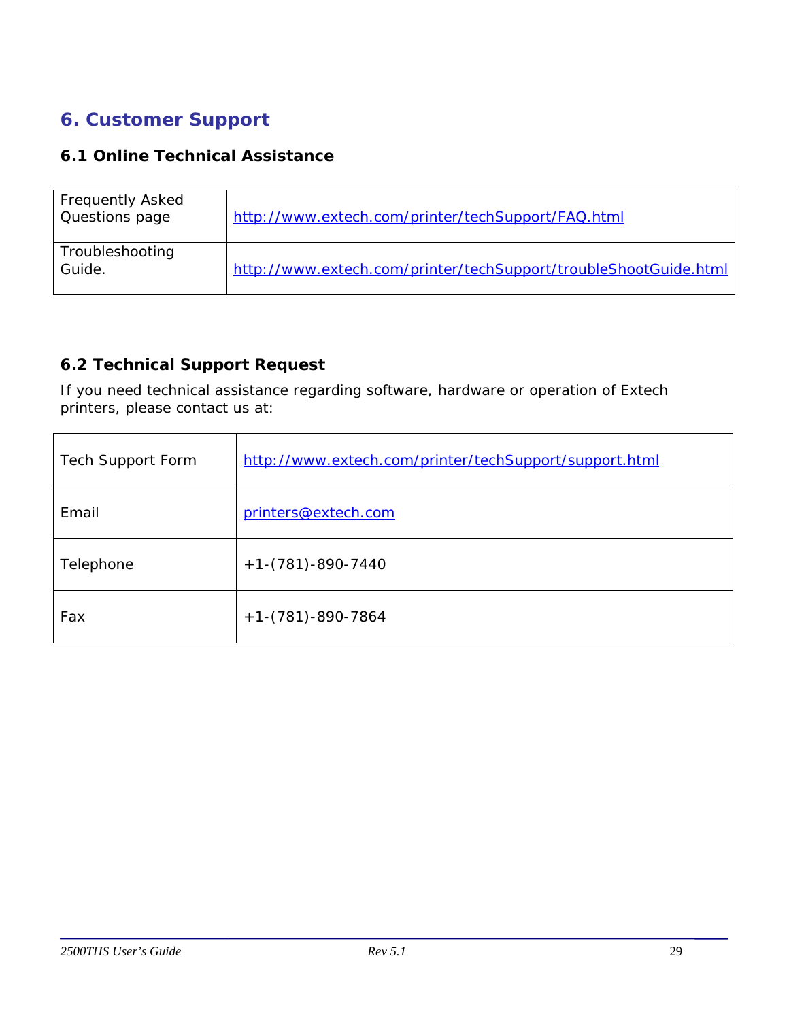# <span id="page-28-0"></span>**6. Customer Support**

# **6.1 Online Technical Assistance**

| <b>Frequently Asked</b><br>Questions page | http://www.extech.com/printer/techSupport/FAQ.html               |
|-------------------------------------------|------------------------------------------------------------------|
| Troubleshooting<br>Guide.                 | http://www.extech.com/printer/techSupport/troubleShootGuide.html |

# **6.2 Technical Support Request**

If you need technical assistance regarding software, hardware or operation of Extech printers, please contact us at:

| <b>Tech Support Form</b> | http://www.extech.com/printer/techSupport/support.html |
|--------------------------|--------------------------------------------------------|
| Email                    | printers@extech.com                                    |
| Telephone                | $+1-(781)-890-7440$                                    |
| Fax                      | $+1-(781)-890-7864$                                    |